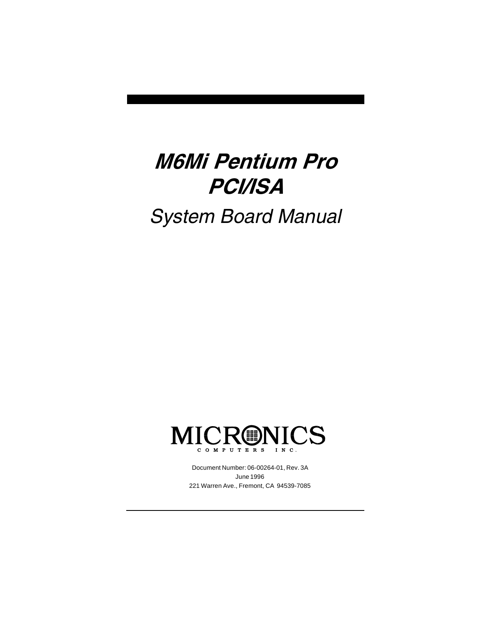# M6Mi Pentium Pro PCI/ISA System Board Manual



Document Number: 06-00264-01, Rev. 3A June 1996 221 Warren Ave., Fremont, CA 94539-7085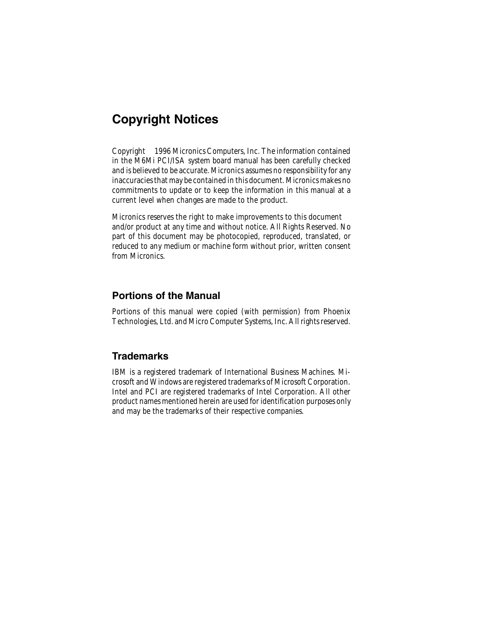### Copyright Notices

2 in the M6Mi PCI/ISA system board manual has been carefully checked Copyright © 1996 Micronics Computers, Inc. The information contained and is believed to be accurate. Micronics assumes no responsibility for any inaccuracies that may be contained in this document. Micronics makes no commitments to update or to keep the information in this manual at a current level when changes are made to the product.

Micronics reserves the right to make improvements to this document and/or product at any time and without notice. All Rights Reserved. No part of this document may be photocopied, reproduced, translated, or reduced to any medium or machine form without prior, written consent from Micronics.

#### Portions of the Manual

Portions of this manual were copied (with permission) from Phoenix Technologies, Ltd. and Micro Computer Systems, Inc. All rights reserved.

### **Trademarks**

IBM is a registered trademark of International Business Machines. Microsoft and Windows are registered trademarks of Microsoft Corporation. Intel and PCI are registered trademarks of Intel Corporation. All other product names mentioned herein are used for identification purposes only and may be the trademarks of their respective companies.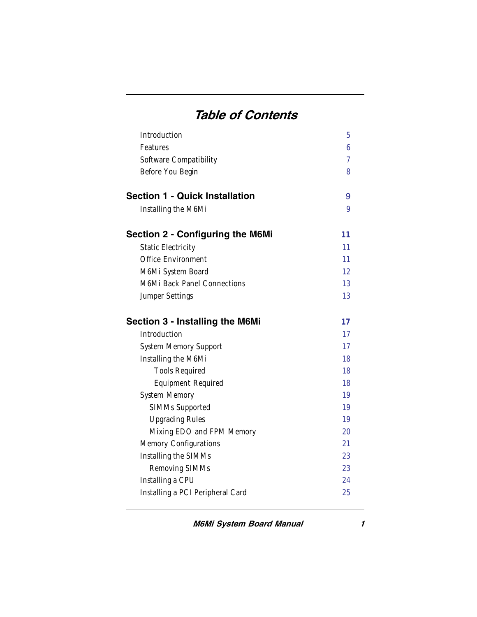### Table of Contents

| Introduction                            | 5              |
|-----------------------------------------|----------------|
| Features                                | 6              |
| Software Compatibility                  | $\overline{7}$ |
| Before You Begin                        | 8              |
| <b>Section 1 - Quick Installation</b>   | 9              |
| Installing the M6Mi                     | 9              |
| <b>Section 2 - Configuring the M6Mi</b> | 11             |
| <b>Static Electricity</b>               | 11             |
| Office Environment                      | 11             |
| M6Mi System Board                       | 12             |
| M6Mi Back Panel Connections             | 13             |
| Jumper Settings                         | 13             |
| <b>Section 3 - Installing the M6Mi</b>  | 17             |
| Introduction                            | 17             |
| System Memory Support                   | 17             |
| Installing the M6Mi                     | 18             |
| <b>Tools Required</b>                   | 18             |
| <b>Equipment Required</b>               | 18             |
| <b>System Memory</b>                    | 19             |
| SIMMs Supported                         | 19             |
| <b>Upgrading Rules</b>                  | 19             |
| Mixing EDO and FPM Memory               | 20             |
| Memory Configurations                   | 21             |
| Installing the SIMMs                    | 23             |
| Removing SIMMs                          | 23             |
| Installing a CPU                        | 24             |
| Installing a PCI Peripheral Card        | 25             |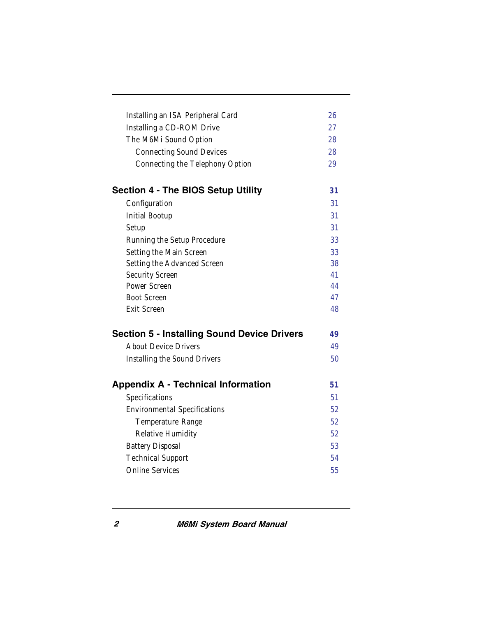| Installing an ISA Peripheral Card<br>Installing a CD-ROM Drive<br>The M6Mi Sound Option<br><b>Connecting Sound Devices</b><br>Connecting the Telephony Option | 26<br>27<br>28<br>28<br>29 |
|---------------------------------------------------------------------------------------------------------------------------------------------------------------|----------------------------|
| <b>Section 4 - The BIOS Setup Utility</b>                                                                                                                     | 31                         |
| Configuration                                                                                                                                                 | 31                         |
| <b>Initial Bootup</b>                                                                                                                                         | 31                         |
| Setup                                                                                                                                                         | 31                         |
| Running the Setup Procedure                                                                                                                                   | 33                         |
| Setting the Main Screen                                                                                                                                       | 33                         |
| Setting the Advanced Screen                                                                                                                                   | 38                         |
| Security Screen                                                                                                                                               | 41                         |
| Power Screen                                                                                                                                                  | 44                         |
| <b>Boot Screen</b>                                                                                                                                            | 47                         |
| <b>Exit Screen</b>                                                                                                                                            | 48                         |
| <b>Section 5 - Installing Sound Device Drivers</b>                                                                                                            | 49                         |
| <b>About Device Drivers</b>                                                                                                                                   | 49                         |
| Installing the Sound Drivers                                                                                                                                  | 50                         |
| <b>Appendix A - Technical Information</b>                                                                                                                     | 51                         |
| Specifications                                                                                                                                                | 51                         |
| <b>Environmental Specifications</b>                                                                                                                           | 52                         |
| Temperature Range                                                                                                                                             | 52                         |
| Relative Humidity                                                                                                                                             | 52                         |
| <b>Battery Disposal</b>                                                                                                                                       | 53                         |
| <b>Technical Support</b>                                                                                                                                      | 54                         |
| <b>Online Services</b>                                                                                                                                        | 55                         |
|                                                                                                                                                               |                            |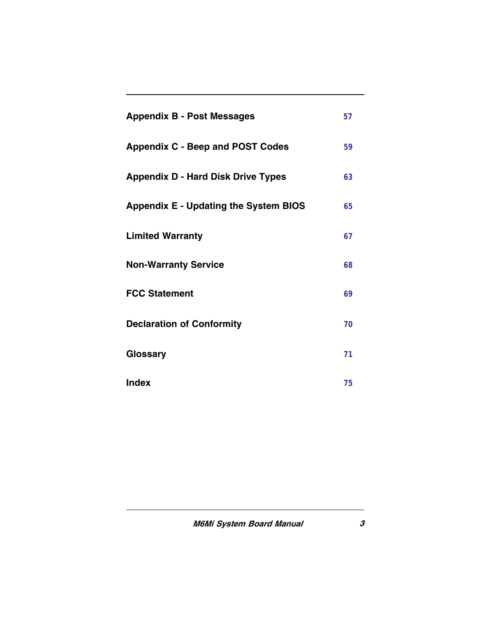| <b>Appendix B - Post Messages</b>            | 57 |
|----------------------------------------------|----|
| <b>Appendix C - Beep and POST Codes</b>      | 59 |
| <b>Appendix D - Hard Disk Drive Types</b>    | 63 |
| <b>Appendix E - Updating the System BIOS</b> | 65 |
| <b>Limited Warranty</b>                      | 67 |
| <b>Non-Warranty Service</b>                  | 68 |
| <b>FCC Statement</b>                         | 69 |
| <b>Declaration of Conformity</b>             | 70 |
| Glossary                                     | 71 |
| <b>Index</b>                                 | 75 |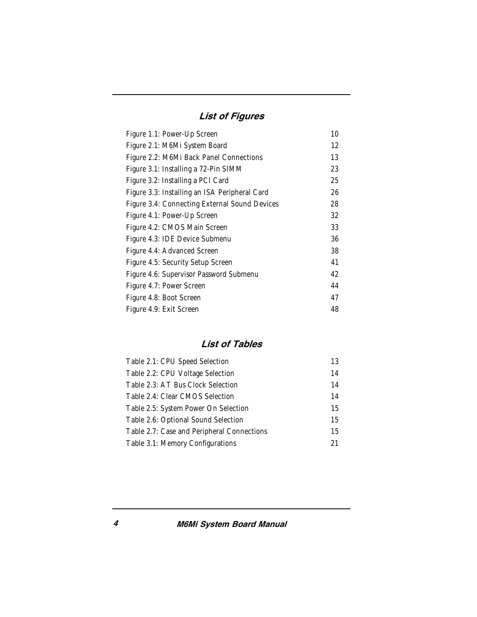#### List of Figures

| Figure 1.1: Power-Up Screen                   | 10 |
|-----------------------------------------------|----|
| Figure 2.1: M6Mi System Board                 | 12 |
| Figure 2.2: M6Mi Back Panel Connections       | 13 |
| Figure 3.1: Installing a 72-Pin SIMM          | 23 |
| Figure 3.2: Installing a PCI Card             | 25 |
| Figure 3.3: Installing an ISA Peripheral Card | 26 |
| Figure 3.4: Connecting External Sound Devices | 28 |
| Figure 4.1: Power-Up Screen                   | 32 |
| Figure 4.2: CMOS Main Screen                  | 33 |
| Figure 4.3: IDE Device Submenu                | 36 |
| Figure 4.4: Advanced Screen                   | 38 |
| Figure 4.5: Security Setup Screen             | 41 |
| Figure 4.6: Supervisor Password Submenu       | 42 |
| Figure 4.7: Power Screen                      | 44 |
| Figure 4.8: Boot Screen                       | 47 |
| Figure 4.9: Exit Screen                       | 48 |

#### List of Tables

| Table 2.1: CPU Speed Selection             | 13 |
|--------------------------------------------|----|
| Table 2.2: CPU Voltage Selection           | 14 |
| Table 2.3: AT Bus Clock Selection          | 14 |
| Table 2.4: Clear CMOS Selection            | 14 |
| Table 2.5: System Power On Selection       | 15 |
| Table 2.6: Optional Sound Selection        | 15 |
| Table 2.7: Case and Peripheral Connections | 15 |
| Table 3.1: Memory Configurations           | 21 |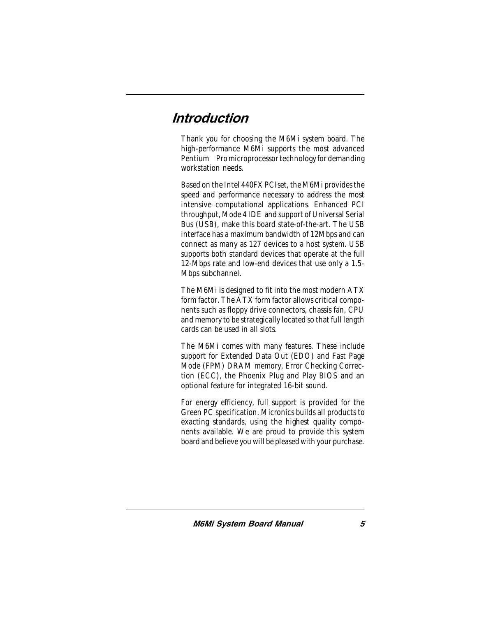### Introduction

Thank you for choosing the M6Mi system board. The high-performance M6Mi supports the most advanced Pentium<sup>®</sup> Promicroprocessor technology for demanding workstation needs.

Based on the Intel 440FX PCIset, the M6Mi provides the speed and performance necessary to address the most intensive computational applications. Enhanced PCI throughput, Mode 4 IDE and support of Universal Serial Bus (USB), make this board state-of-the-art. The USB interface has a maximum bandwidth of 12Mbps and can connect as many as 127 devices to a host system. USB supports both standard devices that operate at the full 12-Mbps rate and low-end devices that use only a 1.5- Mbps subchannel.

The M6Mi is designed to fit into the most modern ATX form factor. The ATX form factor allows critical components such as floppy drive connectors, chassis fan, CPU and memory to be strategically located so that full length cards can be used in all slots.

The M6Mi comes with many features. These include support for Extended Data Out (EDO) and Fast Page Mode (FPM) DRAM memory, Error Checking Correction (ECC), the Phoenix Plug and Play BIOS and an optional feature for integrated 16-bit sound.

For energy efficiency, full support is provided for the Green PC specification. Micronics builds all products to exacting standards, using the highest quality components available. We are proud to provide this system board and believe you will be pleased with your purchase.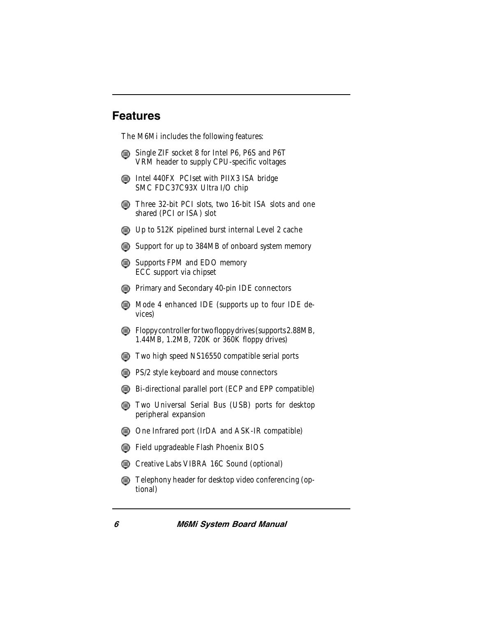### Features

The M6Mi includes the following features:

- Single ZIF socket 8 for Intel P6, P6S and P6T VRM header to supply CPU-specific voltages
- **Intel 440FX PCIset with PIIX3 ISA bridge** SMC FDC37C93X Ultra I/O chip
- **Three 32-bit PCI slots, two 16-bit ISA slots and one** shared (PCI or ISA) slot
- Up to 512K pipelined burst internal Level 2 cache
- Support for up to 384MB of onboard system memory
- Supports FPM and EDO memory ECC support via chipset
- **EXECUTE:** Primary and Secondary 40-pin IDE connectors
- **Mode 4 enhanced IDE (supports up to four IDE de**vices)
- Floppy controller for two floppy drives (supports 2.88MB, 1.44MB, 1.2MB, 720K or 360K floppy drives)
- **The Study Secondity Compatible serial ports**
- **EXALCE SEX** PS/2 style keyboard and mouse connectors
- Bi-directional parallel port (ECP and EPP compatible)
- **The Universal Serial Bus (USB) ports for desktop** peripheral expansion
- One Infrared port (IrDA and ASK-IR compatible)
- Field upgradeable Flash Phoenix BIOS
- Creative Labs VIBRA 16C Sound (optional)
- Telephony header for desktop video conferencing (optional)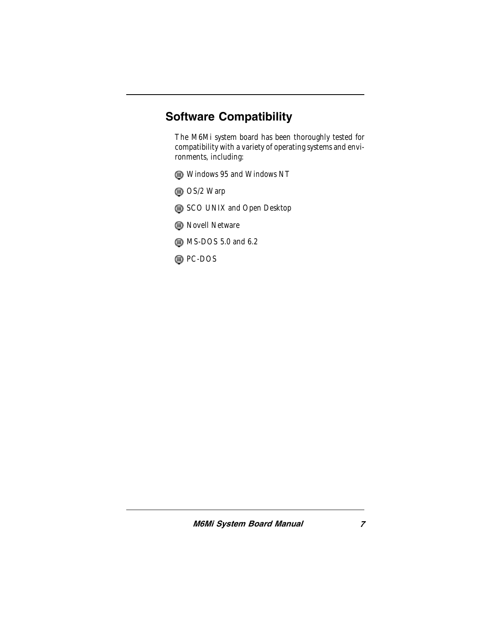### Software Compatibility

The M6Mi system board has been thoroughly tested for compatibility with a variety of operating systems and environments, including:

- Windows 95 and Windows NT
- OS/2 Warp
- SCO UNIX and Open Desktop
- **B** Novell Netware
- **6** MS-DOS 5.0 and 6.2
- **OD** PC-DOS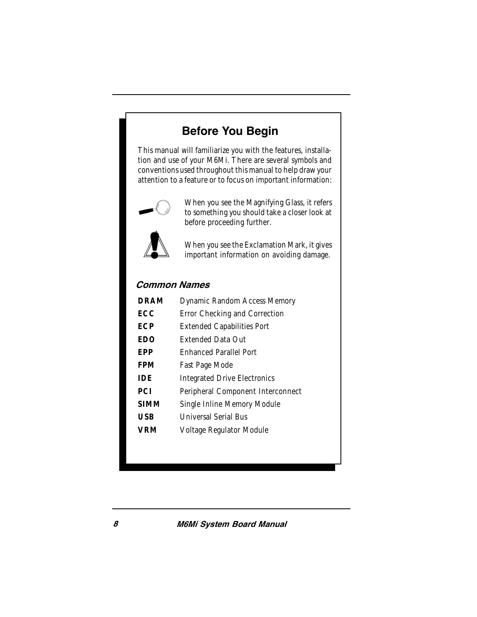### Before You Begin

This manual will familiarize you with the features, installation and use of your M6Mi. There are several symbols and conventions used throughout this manual to help draw your attention to a feature or to focus on important information:



When you see the Magnifying Glass, it refers to something you should take a closer look at before proceeding further.



When you see the Exclamation Mark, it gives important information on avoiding damage.

#### Common Names

| <b>DRAM</b> | Dynamic Random Access Memory        |
|-------------|-------------------------------------|
| FCC         | Error Checking and Correction       |
| ECP         | <b>Extended Capabilities Port</b>   |
| EDO         | <b>Extended Data Out</b>            |
| EPP         | <b>Fnhanced Parallel Port</b>       |
| FPM         | Fast Page Mode                      |
| IDE         | <b>Integrated Drive Electronics</b> |
| PCI         | Peripheral Component Interconnect   |
| SIMM        | Single Inline Memory Module         |
| USB         | Universal Serial Bus                |
| VRM         | Voltage Regulator Module            |
|             |                                     |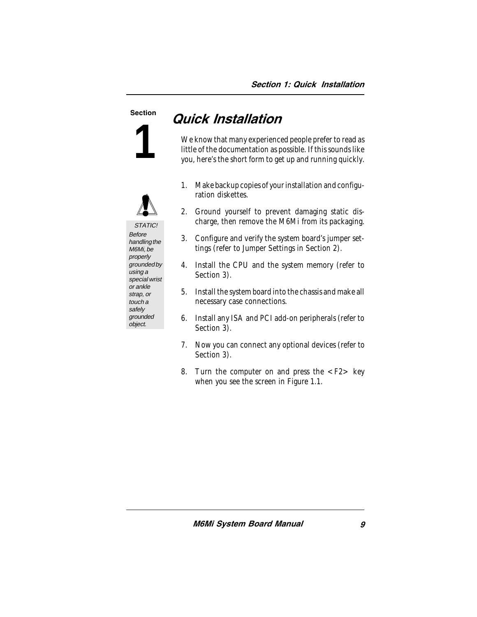# **1**



STATIC! **Before** handling the M6Mi, be properly grounded by using a special wrist or ankle strap, or touch a safely grounded object.

## Section **Quick Installation**

We know that many experienced people prefer to read as little of the documentation as possible. If this sounds like you, here's the short form to get up and running quickly.

- 1. Make backup copies of your installation and configuration diskettes.
- 2. Ground yourself to prevent damaging static discharge, then remove the M6Mi from its packaging.
- 3. Configure and verify the system board's jumper settings (refer to Jumper Settings in Section 2).
- 4. Install the CPU and the system memory (refer to Section 3).
- 5. Install the system board into the chassis and make all necessary case connections.
- 6. Install any ISA and PCI add-on peripherals (refer to Section 3).
- 7. Now you can connect any optional devices (refer to Section 3).
- 8. Turn the computer on and press the <F2> key when you see the screen in Figure 1.1.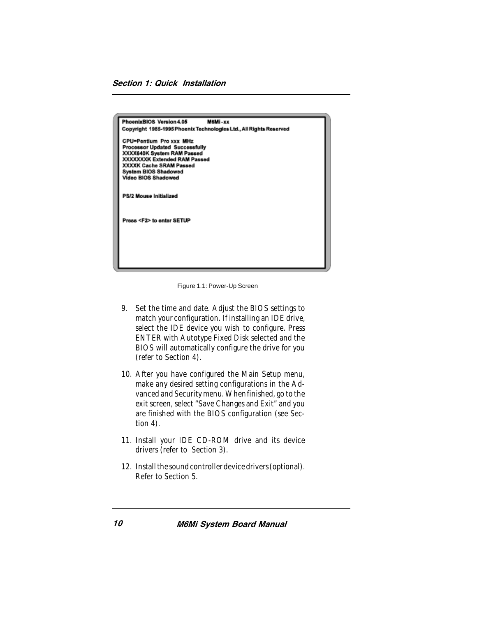| PhoenixBIOS Version 4.05<br>M6Mi-xx                                                                                                                                                                                    |
|------------------------------------------------------------------------------------------------------------------------------------------------------------------------------------------------------------------------|
| Copyright 1985-1995 Phoenix Technologies Ltd., All Rights Reserved                                                                                                                                                     |
| <b>CPU=Pentium Pro xxx MHz</b><br>Processor Updated Successfully<br>XXXX640K System RAM Passed<br><b>XXXXXXXK Extended RAM Passed</b><br>XXXXK Cache SRAM Passed<br><b>System BIOS Shadowed</b><br>Video BIOS Shadowed |
| PS/2 Mouse Initialized                                                                                                                                                                                                 |
| Press <f2> to enter SETUP</f2>                                                                                                                                                                                         |
|                                                                                                                                                                                                                        |
|                                                                                                                                                                                                                        |

Figure 1.1: Power-Up Screen

- 9. Set the time and date. Adjust the BIOS settings to match your configuration. If installing an IDE drive, select the IDE device you wish to configure. Press ENTER with Autotype Fixed Disk selected and the BIOS will automatically configure the drive for you (refer to Section 4).
- 10. After you have configured the Main Setup menu, make any desired setting configurations in the Advanced and Security menu. When finished, go to the exit screen, select "Save Changes and Exit" and you are finished with the BIOS configuration (see Section 4).
- 11. Install your IDE CD-ROM drive and its device drivers (refer to Section 3).
- 12. Install the sound controller device drivers (optional). Refer to Section 5.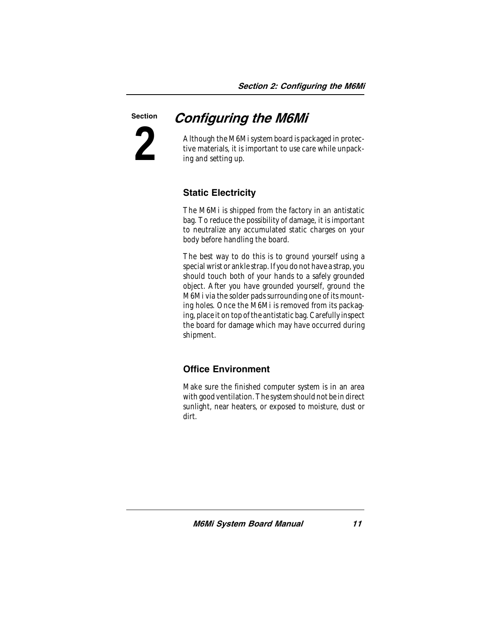### Configuring the M6Mi

Although the M6Mi system board is packaged in protective materials, it is important to use care while unpacking and setting up.

### Static Electricity

**2**

Section

The M6Mi is shipped from the factory in an antistatic bag. To reduce the possibility of damage, it is important to neutralize any accumulated static charges on your body before handling the board.

The best way to do this is to ground yourself using a special wrist or ankle strap. If you do not have a strap, you should touch both of your hands to a safely grounded object. After you have grounded yourself, ground the M6Mi via the solder pads surrounding one of its mounting holes. Once the M6Mi is removed from its packaging, place it on top of the antistatic bag. Carefully inspect the board for damage which may have occurred during shipment.

### Office Environment

Make sure the finished computer system is in an area with good ventilation. The system should not be in direct sunlight, near heaters, or exposed to moisture, dust or dirt.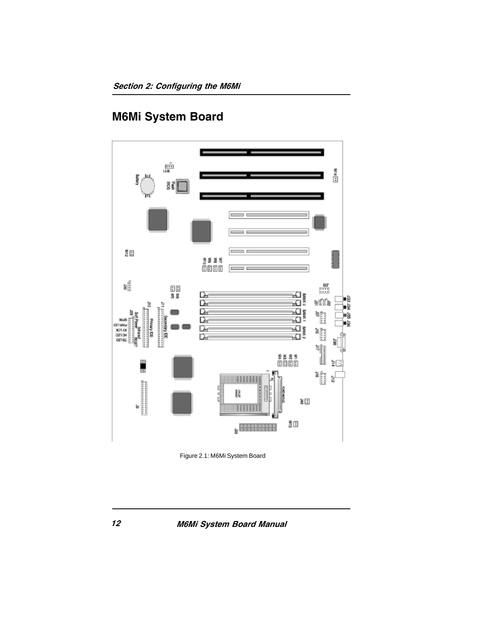### M6Mi System Board



Figure 2.1: M6Mi System Board

M6Mi System Board Manual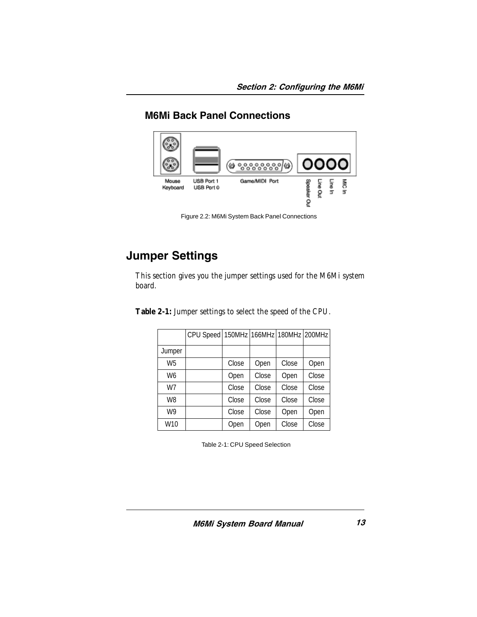### M6Mi Back Panel Connections



Figure 2.2: M6Mi System Back Panel Connections

### Jumper Settings

This section gives you the jumper settings used for the M6Mi system board.

**Table 2-1:** Jumper settings to select the speed of the CPU.

|                | CPU Speed   150MHz   166MHz   180MHz   200MHz |       |       |       |       |
|----------------|-----------------------------------------------|-------|-------|-------|-------|
| Jumper         |                                               |       |       |       |       |
| W <sub>5</sub> |                                               | Close | Open  | Close | Open  |
| W <sub>6</sub> |                                               | Open  | Close | Open  | Close |
| W7             |                                               | Close | Close | Close | Close |
| W <sub>8</sub> |                                               | Close | Close | Close | Close |
| W <sub>9</sub> |                                               | Close | Close | Open  | Open  |
| W10            |                                               | Open  | Open  | Close | Close |

Table 2-1: CPU Speed Selection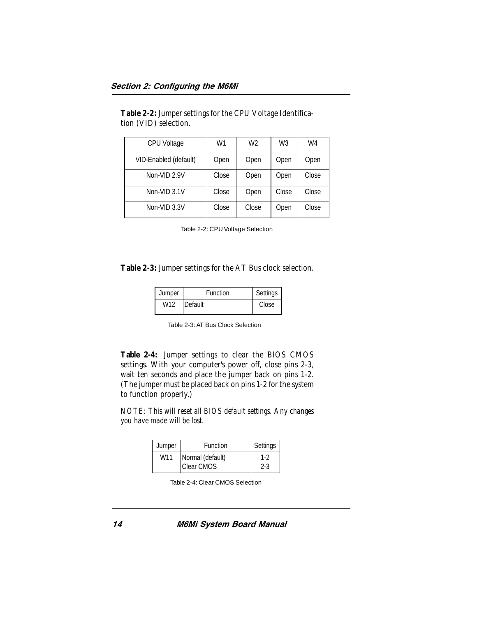**Table 2-2:** Jumper settings for the CPU Voltage Identification (VID) selection.

| <b>CPU Voltage</b>    | W1    | W <sub>2</sub> | W3    | W4    |
|-----------------------|-------|----------------|-------|-------|
| VID-Enabled (default) | Open  | Open           | Open  | Open  |
| Non-VID 2.9V          | Close | Open           | Open  | Close |
| Non-VID 3.1V          | Close | Open           | Close | Close |
| Non-VID 3.3V          | Close | Close          | Open  | Close |

Table 2-2: CPU Voltage Selection

**Table 2-3:** Jumper settings for the AT Bus clock selection.

| Jumper          | Function | Settings |
|-----------------|----------|----------|
| W <sub>12</sub> | Default  | Close    |

Table 2-3: AT Bus Clock Selection

**Table 2-4:** Jumper settings to clear the BIOS CMOS settings. With your computer's power off, close pins 2-3, wait ten seconds and place the jumper back on pins 1-2. (The jumper must be placed back on pins 1-2 for the system to function properly.)

*NOTE: This will reset all BIOS default settings. Any changes you have made will be lost*.

| Jumper | Function          | Settings |
|--------|-------------------|----------|
| W11    | Normal (default)  | 1-2      |
|        | <b>Clear CMOS</b> | $2 - 3$  |

Table 2-4: Clear CMOS Selection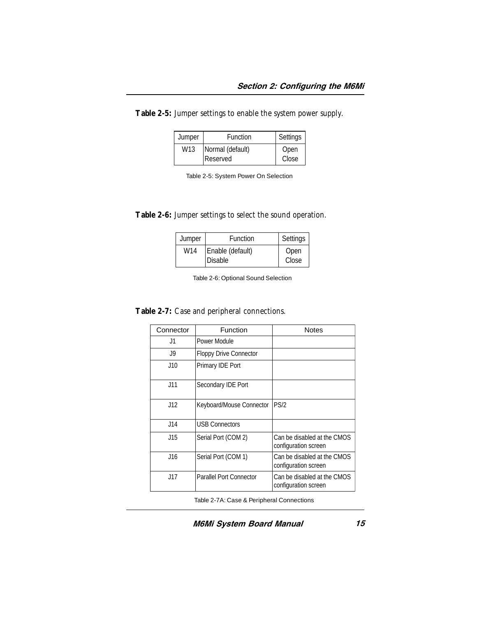**Table 2-5:** Jumper settings to enable the system power supply.

| Jumper | Function         | Settings |
|--------|------------------|----------|
| W13    | Normal (default) | Open     |
|        | <b>Reserved</b>  | Close    |

**Table 2-6:** Jumper settings to select the sound operation.

| Jumper          | Function         | Settings |
|-----------------|------------------|----------|
| W <sub>14</sub> | Enable (default) | Open     |
|                 | <b>Disable</b>   | Close    |

Table 2-6: Optional Sound Selection

**Table 2-7:** Case and peripheral connections.

| Connector | Function                      | Notes                                               |
|-----------|-------------------------------|-----------------------------------------------------|
| J1        | Power Module                  |                                                     |
| J9        | <b>Floppy Drive Connector</b> |                                                     |
| J10       | Primary IDE Port              |                                                     |
| J11       | Secondary IDE Port            |                                                     |
| J12       | Keyboard/Mouse Connector      | PS/2                                                |
| J14       | <b>USB Connectors</b>         |                                                     |
| J15       | Serial Port (COM 2)           | Can be disabled at the CMOS<br>configuration screen |
| J16       | Serial Port (COM 1)           | Can be disabled at the CMOS<br>configuration screen |
| J17       | Parallel Port Connector       | Can be disabled at the CMOS<br>configuration screen |

Table 2-7A: Case & Peripheral Connections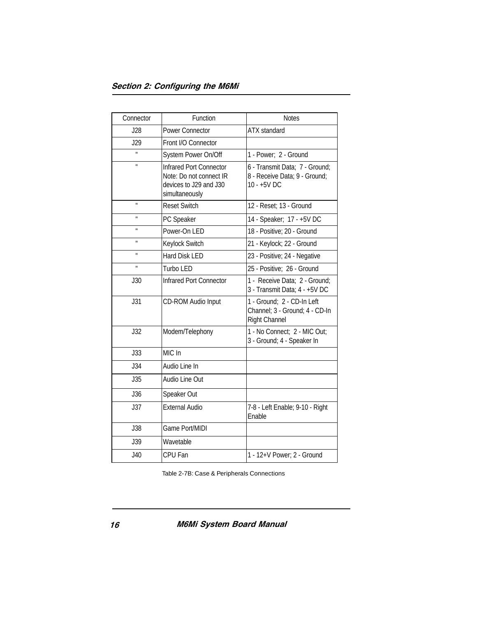| Connector      | Function                                                                                       | <b>Notes</b>                                                                         |  |
|----------------|------------------------------------------------------------------------------------------------|--------------------------------------------------------------------------------------|--|
| J28            | <b>Power Connector</b>                                                                         | <b>ATX</b> standard                                                                  |  |
| J29            | Front I/O Connector                                                                            |                                                                                      |  |
| H              | System Power On/Off                                                                            | 1 - Power; 2 - Ground                                                                |  |
| Ħ              | Infrared Port Connector<br>Note: Do not connect IR<br>devices to J29 and J30<br>simultaneously | 6 - Transmit Data; 7 - Ground;<br>8 - Receive Data; 9 - Ground;<br>10 - +5V DC       |  |
| H              | <b>Reset Switch</b>                                                                            | 12 - Reset; 13 - Ground                                                              |  |
| H              | PC Speaker                                                                                     | 14 - Speaker; 17 - +5V DC                                                            |  |
| $\blacksquare$ | Power-On LED                                                                                   | 18 - Positive; 20 - Ground                                                           |  |
| H              | Keylock Switch                                                                                 | 21 - Keylock; 22 - Ground                                                            |  |
| $\blacksquare$ | <b>Hard Disk LED</b>                                                                           | 23 - Positive; 24 - Negative                                                         |  |
| H              | Turbo LED                                                                                      | 25 - Positive; 26 - Ground                                                           |  |
| J30            | Infrared Port Connector                                                                        | 1 - Receive Data; 2 - Ground;<br>3 - Transmit Data; 4 - +5V DC                       |  |
| J31            | CD-ROM Audio Input                                                                             | 1 - Ground; 2 - CD-In Left<br>Channel; 3 - Ground; 4 - CD-In<br><b>Right Channel</b> |  |
| J32            | Modem/Telephony                                                                                | 1 - No Connect; 2 - MIC Out;<br>3 - Ground; 4 - Speaker In                           |  |
| J33            | MIC In                                                                                         |                                                                                      |  |
| J34            | Audio Line In                                                                                  |                                                                                      |  |
| J35            | Audio Line Out                                                                                 |                                                                                      |  |
| <b>J36</b>     | Speaker Out                                                                                    |                                                                                      |  |
| J37            | <b>External Audio</b>                                                                          | 7-8 - Left Enable; 9-10 - Right<br>Enable                                            |  |
| <b>J38</b>     | Game Port/MIDI                                                                                 |                                                                                      |  |
| <b>J39</b>     | Wavetable                                                                                      |                                                                                      |  |
| J40            | CPU Fan                                                                                        | 1 - 12+V Power; 2 - Ground                                                           |  |

Table 2-7B: Case & Peripherals Connections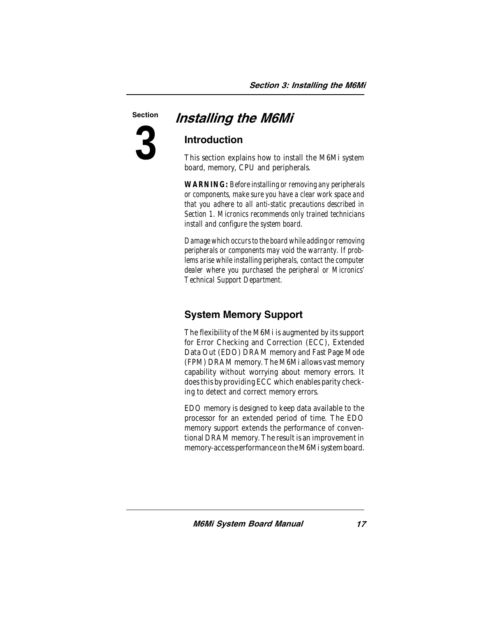**3**

### Section **Installing the M6Mi**

### Introduction

This section explains how to install the M6Mi system board, memory, CPU and peripherals.

*WARNING: Before installing or removing any peripherals or components, make sure you have a clear work space and that you adhere to all anti-static precautions described in Section 1. Micronics recommends only trained technicians install and configure the system board.*

*Damage which occurs to the board while adding or removing peripherals or components may void the warranty. If problems arise while installing peripherals, contact the computer dealer where you purchased the peripheral or Micronics' Technical Support Department.*

### System Memory Support

The flexibility of the M6Mi is augmented by its support for Error Checking and Correction (ECC), Extended Data Out (EDO) DRAM memory and Fast Page Mode (FPM) DRAM memory. The M6Mi allows vast memory capability without worrying about memory errors. It does this by providing ECC which enables parity checking to detect and correct memory errors.

EDO memory is designed to keep data available to the processor for an extended period of time. The EDO memory support extends the performance of conventional DRAM memory. The result is an improvement in memory-access performance on the M6Mi system board.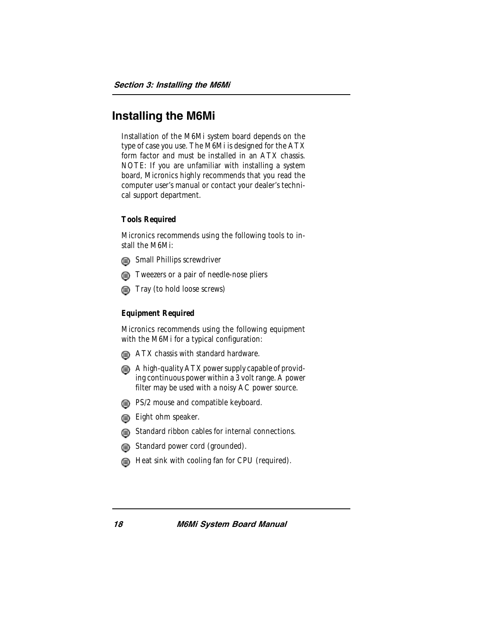### Installing the M6Mi

Installation of the M6Mi system board depends on the type of case you use. The M6Mi is designed for the ATX form factor and must be installed in an ATX chassis. NOTE: If you are unfamiliar with installing a system board, Micronics highly recommends that you read the computer user's manual or contact your dealer's technical support department.

#### **Tools Required**

Micronics recommends using the following tools to install the M6Mi:



**Small Phillips screwdriver** 



**Tray (to hold loose screws)** 

#### **Equipment Required**

Micronics recommends using the following equipment with the M6Mi for a typical configuration:

- **ATX chassis with standard hardware.**
- A high-quality ATX power supply capable of providing continuous power within a 3 volt range. A power filter may be used with a noisy AC power source.
- **B** PS/2 mouse and compatible keyboard.
- **Eight ohm speaker.**
- **Gi**) Standard ribbon cables for internal connections.
- Standard power cord (grounded).
- Heat sink with cooling fan for CPU (required).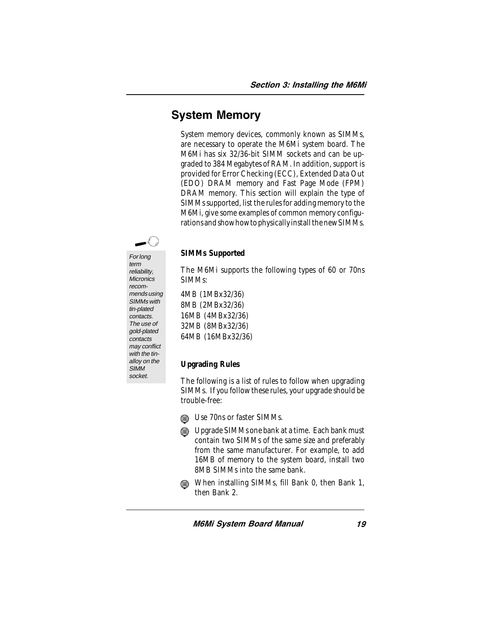### System Memory

System memory devices, commonly known as SIMMs, are necessary to operate the M6Mi system board. The M6Mi has six 32/36-bit SIMM sockets and can be upgraded to 384 Megabytes of RAM. In addition, support is provided for Error Checking (ECC), Extended Data Out (EDO) DRAM memory and Fast Page Mode (FPM) DRAM memory. This section will explain the type of SIMMs supported, list the rules for adding memory to the M6Mi, give some examples of common memory configurations and show how to physically install the new SIMMs.



#### **SIMMs Supported**

The M6Mi supports the following types of 60 or 70ns SIMMs:

4MB (1MBx32/36) 8MB (2MBx32/36) 16MB (4MBx32/36) 32MB (8MBx32/36) 64MB (16MBx32/36)

#### **Upgrading Rules**

The following is a list of rules to follow when upgrading SIMMs. If you follow these rules, your upgrade should be trouble-free:

- **in** Use 70ns or faster SIMMs.
- Dipgrade SIMMs one bank at a time. Each bank must contain two SIMMs of the same size and preferably from the same manufacturer. For example, to add 16MB of memory to the system board, install two 8MB SIMMs into the same bank.
- When installing SIMMs, fill Bank 0, then Bank 1, then Bank 2.

For long term reliability, **Micronics** recommends using SIMMs with tin-plated contacts. The use of gold-plated contacts may conflict with the tinalloy on the **SIMM** socket.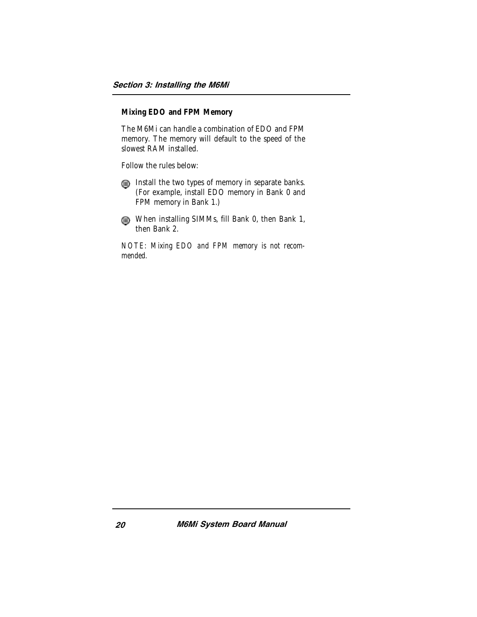#### **Mixing EDO and FPM Memory**

The M6Mi can handle a combination of EDO and FPM memory. The memory will default to the speed of the slowest RAM installed.

Follow the rules below:

Install the two types of memory in separate banks. (For example, install EDO memory in Bank 0 and FPM memory in Bank 1.)

When installing SIMMs, fill Bank 0, then Bank 1, then Bank 2.

*NOTE: Mixing EDO and FPM memory is not recommended.*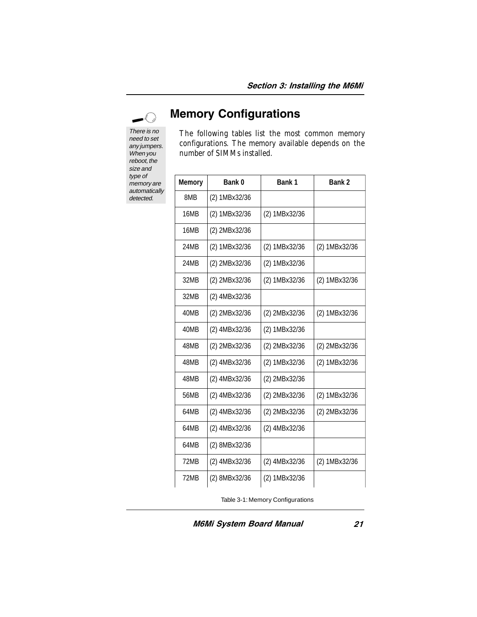### $\curvearrowleft$

There is no need to set any jumpers. When you reboot, the size and type of memory are automatically detected.

### Memory Configurations

The following tables list the most common memory configurations. The memory available depends on the number of SIMMs installed.

| <b>Memory</b> | Bank 0        | Bank 1        | Bank 2        |
|---------------|---------------|---------------|---------------|
| 8MB           | (2) 1MBx32/36 |               |               |
| 16MB          | (2) 1MBx32/36 | (2) 1MBx32/36 |               |
| 16MB          | (2) 2MBx32/36 |               |               |
| 24MB          | (2) 1MBx32/36 | (2) 1MBx32/36 | (2) 1MBx32/36 |
| 24MB          | (2) 2MBx32/36 | (2) 1MBx32/36 |               |
| 32MB          | (2) 2MBx32/36 | (2) 1MBx32/36 | (2) 1MBx32/36 |
| 32MB          | (2) 4MBx32/36 |               |               |
| 40MB          | (2) 2MBx32/36 | (2) 2MBx32/36 | (2) 1MBx32/36 |
| 40MB          | (2) 4MBx32/36 | (2) 1MBx32/36 |               |
| 48MB          | (2) 2MBx32/36 | (2) 2MBx32/36 | (2) 2MBx32/36 |
| 48MB          | (2) 4MBx32/36 | (2) 1MBx32/36 | (2) 1MBx32/36 |
| 48MB          | (2) 4MBx32/36 | (2) 2MBx32/36 |               |
| 56MB          | (2) 4MBx32/36 | (2) 2MBx32/36 | (2) 1MBx32/36 |
| 64MB          | (2) 4MBx32/36 | (2) 2MBx32/36 | (2) 2MBx32/36 |
| 64MB          | (2) 4MBx32/36 | (2) 4MBx32/36 |               |
| 64MB          | (2) 8MBx32/36 |               |               |
| 72MB          | (2) 4MBx32/36 | (2) 4MBx32/36 | (2) 1MBx32/36 |
| 72MB          | (2) 8MBx32/36 | (2) 1MBx32/36 |               |

Table 3-1: Memory Configurations

M6Mi System Board Manual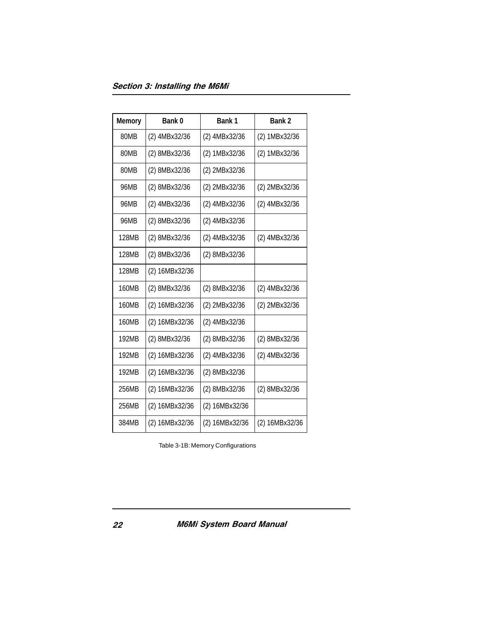| <b>Memory</b> | Bank <sub>0</sub> | Bank 1         | Bank 2         |
|---------------|-------------------|----------------|----------------|
| 80MB          | (2) 4MBx32/36     | (2) 4MBx32/36  | (2) 1MBx32/36  |
| 80MB          | (2) 8MBx32/36     | (2) 1MBx32/36  | (2) 1MBx32/36  |
| 80MB          | (2) 8MBx32/36     | (2) 2MBx32/36  |                |
| 96MB          | (2) 8MBx32/36     | (2) 2MBx32/36  | (2) 2MBx32/36  |
| 96MB          | (2) 4MBx32/36     | (2) 4MBx32/36  | (2) 4MBx32/36  |
| 96MB          | (2) 8MBx32/36     | (2) 4MBx32/36  |                |
| 128MB         | (2) 8MBx32/36     | (2) 4MBx32/36  | (2) 4MBx32/36  |
| 128MB         | (2) 8MBx32/36     | (2) 8MBx32/36  |                |
| 128MB         | (2) 16MBx32/36    |                |                |
| 160MB         | (2) 8MBx32/36     | (2) 8MBx32/36  | (2) 4MBx32/36  |
| 160MB         | (2) 16MBx32/36    | (2) 2MBx32/36  | (2) 2MBx32/36  |
| 160MB         | (2) 16MBx32/36    | (2) 4MBx32/36  |                |
| 192MB         | (2) 8MBx32/36     | (2) 8MBx32/36  | (2) 8MBx32/36  |
| 192MB         | (2) 16MBx32/36    | (2) 4MBx32/36  | (2) 4MBx32/36  |
| 192MB         | (2) 16MBx32/36    | (2) 8MBx32/36  |                |
| 256MB         | (2) 16MBx32/36    | (2) 8MBx32/36  | (2) 8MBx32/36  |
| 256MB         | (2) 16MBx32/36    | (2) 16MBx32/36 |                |
| 384MB         | (2) 16MBx32/36    | (2) 16MBx32/36 | (2) 16MBx32/36 |

Table 3-1B: Memory Configurations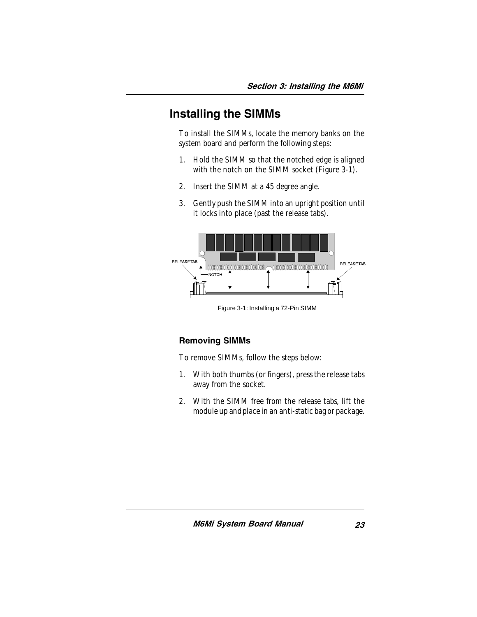### Installing the SIMMs

To install the SIMMs, locate the memory banks on the system board and perform the following steps:

- 1. Hold the SIMM so that the notched edge is aligned with the notch on the SIMM socket (Figure 3-1).
- 2. Insert the SIMM at a 45 degree angle.
- 3. Gently push the SIMM into an upright position until it locks into place (past the release tabs).



Figure 3-1: Installing a 72-Pin SIMM

#### Removing SIMMs

To remove SIMMs, follow the steps below:

- 1. With both thumbs (or fingers), press the release tabs away from the socket.
- 2. With the SIMM free from the release tabs, lift the module up and place in an anti-static bag or package.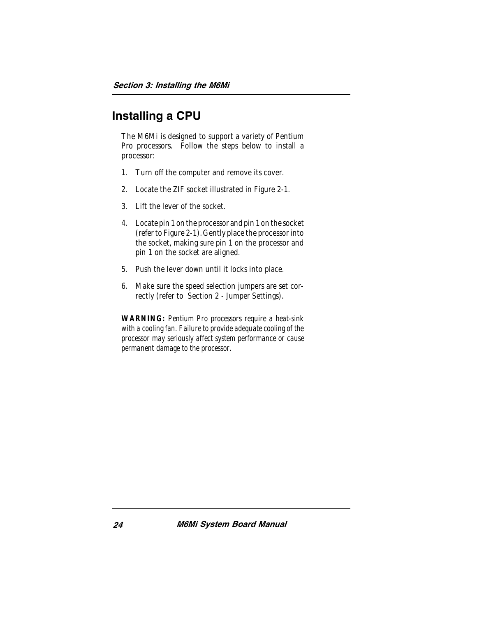### Installing a CPU

The M6Mi is designed to support a variety of Pentium Pro processors. Follow the steps below to install a processor:

- 1. Turn off the computer and remove its cover.
- 2. Locate the ZIF socket illustrated in Figure 2-1.
- 3. Lift the lever of the socket.
- 4. Locate pin 1 on the processor and pin 1 on the socket (refer to Figure 2-1). Gently place the processor into the socket, making sure pin 1 on the processor and pin 1 on the socket are aligned.
- 5. Push the lever down until it locks into place.
- 6. Make sure the speed selection jumpers are set correctly (refer to Section 2 - Jumper Settings).

*WARNING: Pentium Pro processors require a heat-sink with a cooling fan. Failure to provide adequate cooling of the processor may seriously affect system performance or cause permanent damage to the processor.*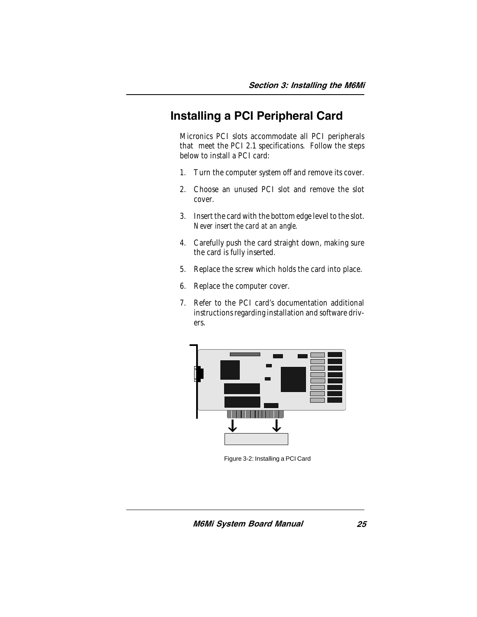### Installing a PCI Peripheral Card

Micronics PCI slots accommodate all PCI peripherals that meet the PCI 2.1 specifications. Follow the steps below to install a PCI card:

- 1. Turn the computer system off and remove its cover.
- 2. Choose an unused PCI slot and remove the slot cover.
- 3. Insert the card with the bottom edge level to the slot. *Never insert the card at an angle.*
- 4. Carefully push the card straight down, making sure the card is fully inserted.
- 5. Replace the screw which holds the card into place.
- 6. Replace the computer cover.
- 7. Refer to the PCI card's documentation additional instructions regarding installation and software drivers.



Figure 3-2: Installing a PCI Card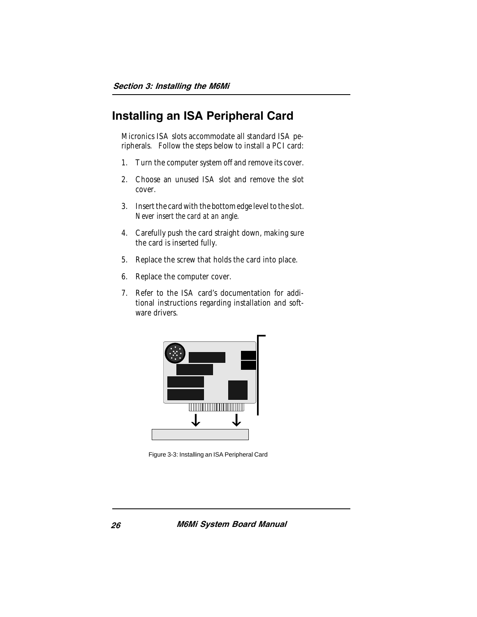### Installing an ISA Peripheral Card

Micronics ISA slots accommodate all standard ISA peripherals. Follow the steps below to install a PCI card:

- 1. Turn the computer system off and remove its cover.
- 2. Choose an unused ISA slot and remove the slot cover.
- 3. Insert the card with the bottom edge level to the slot. *Never insert the card at an angle.*
- 4. Carefully push the card straight down, making sure the card is inserted fully.
- 5. Replace the screw that holds the card into place.
- 6. Replace the computer cover.
- 7. Refer to the ISA card's documentation for additional instructions regarding installation and software drivers.



Figure 3-3: Installing an ISA Peripheral Card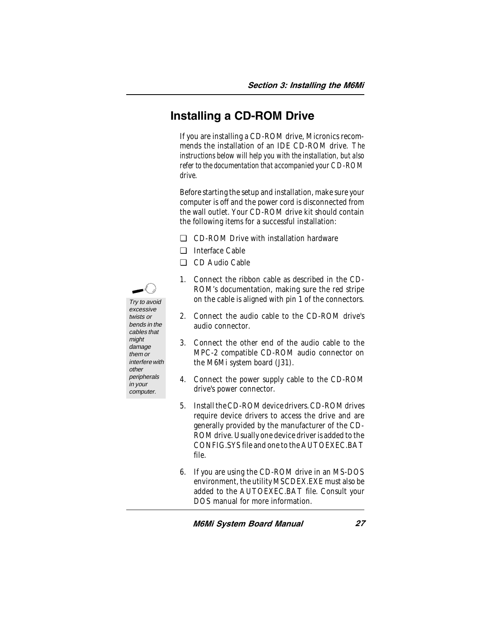### Installing a CD-ROM Drive

If you are installing a CD-ROM drive, Micronics recommends the installation of an IDE CD-ROM drive. *The instructions below will help you with the installation, but also refer to the documentation that accompanied your CD-ROM drive.*

Before starting the setup and installation, make sure your computer is off and the power cord is disconnected from the wall outlet. Your CD-ROM drive kit should contain the following items for a successful installation:

- ❏ CD-ROM Drive with installation hardware
- ❏ Interface Cable
- ❏ CD Audio Cable
- 1. Connect the ribbon cable as described in the CD-ROM's documentation, making sure the red stripe on the cable is aligned with pin 1 of the connectors.
- 2. Connect the audio cable to the CD-ROM drive's audio connector.
- 3. Connect the other end of the audio cable to the MPC-2 compatible CD-ROM audio connector on the M6Mi system board (J31).
- 4. Connect the power supply cable to the CD-ROM drive's power connector.
- 5. Install the CD-ROM device drivers. CD-ROM drives require device drivers to access the drive and are generally provided by the manufacturer of the CD-ROM drive. Usually one device driver is added to the CONFIG.SYS file and one to the AUTOEXEC.BAT file.
- 6. If you are using the CD-ROM drive in an MS-DOS environment, the utility MSCDEX.EXE must also be added to the AUTOEXEC.BAT file. Consult your DOS manual for more information.



Try to avoid excessive twists or

other peripherals in your computer.

M6Mi System Board Manual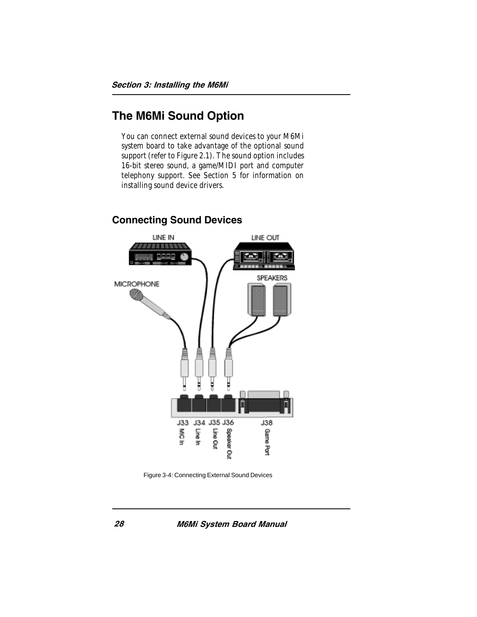### The M6Mi Sound Option

You can connect external sound devices to your M6Mi system board to take advantage of the optional sound support (refer to Figure 2.1). The sound option includes 16-bit stereo sound, a game/MIDI port and computer telephony support. See Section 5 for information on installing sound device drivers.



#### Connecting Sound Devices

Figure 3-4: Connecting External Sound Devices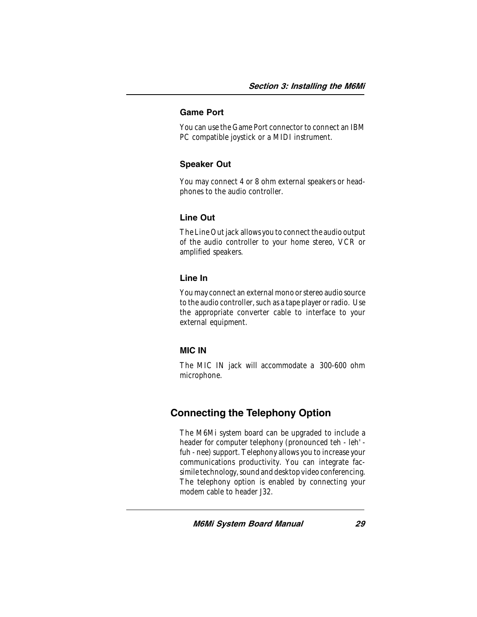#### Game Port

You can use the Game Port connector to connect an IBM PC compatible joystick or a MIDI instrument.

#### Speaker Out

You may connect 4 or 8 ohm external speakers or headphones to the audio controller.

#### Line Out

The Line Out jack allows you to connect the audio output of the audio controller to your home stereo, VCR or amplified speakers.

#### Line In

You may connect an external mono or stereo audio source to the audio controller, such as a tape player or radio. Use the appropriate converter cable to interface to your external equipment.

#### MIC IN

The MIC IN jack will accommodate a 300-600 ohm microphone.

### Connecting the Telephony Option

The M6Mi system board can be upgraded to include a header for computer telephony (pronounced teh - leh' fuh - nee) support. Telephony allows you to increase your communications productivity. You can integrate facsimile technology, sound and desktop video conferencing. The telephony option is enabled by connecting your modem cable to header 132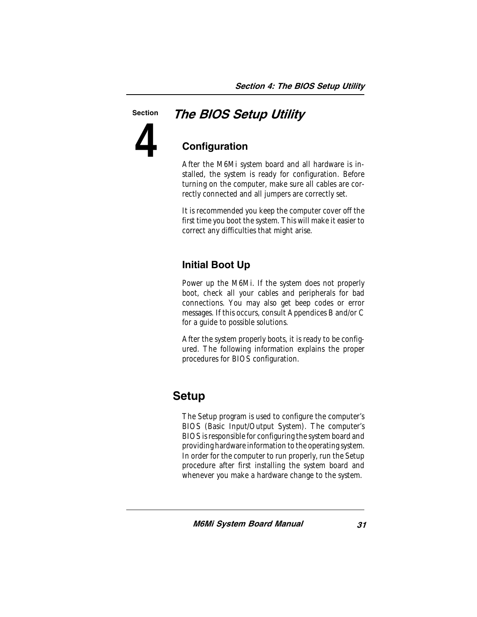#### **Section**

**4**

### The BIOS Setup Utility

### **Configuration**

After the M6Mi system board and all hardware is installed, the system is ready for configuration. Before turning on the computer, make sure all cables are correctly connected and all jumpers are correctly set.

It is recommended you keep the computer cover off the first time you boot the system. This will make it easier to correct any difficulties that might arise.

### Initial Boot Up

Power up the M6Mi. If the system does not properly boot, check all your cables and peripherals for bad connections. You may also get beep codes or error messages. If this occurs, consult Appendices B and/or C for a guide to possible solutions.

After the system properly boots, it is ready to be configured. The following information explains the proper procedures for BIOS configuration.

### **Setup**

The Setup program is used to configure the computer's BIOS (Basic Input/Output System). The computer's BIOS is responsible for configuring the system board and providing hardware information to the operating system. In order for the computer to run properly, run the Setup procedure after first installing the system board and whenever you make a hardware change to the system.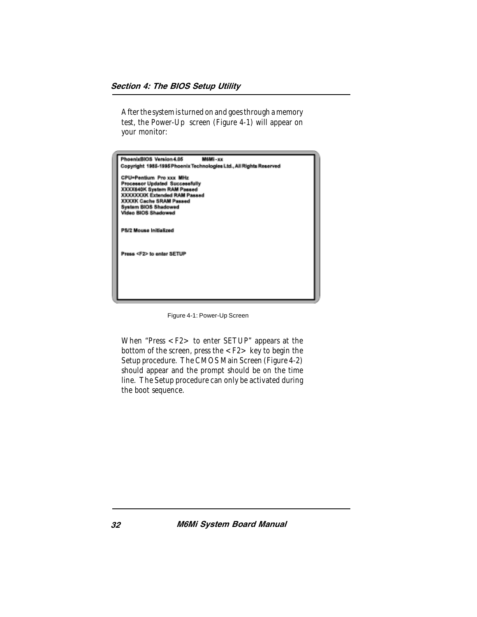After the system is turned on and goes through a memory test, the Power-Up screen (Figure 4-1) will appear on your monitor:

| PhoenixBIOS Version 4.05<br>M6Mi-xx                                |
|--------------------------------------------------------------------|
| Copyright 1985-1995 Phoenix Technologies Ltd., All Rights Reserved |
| CPU=Pentium Pro xxx MHz                                            |
| Processor Updated Successfully                                     |
| XXXX640K System RAM Passed                                         |
| <b>XXXXXXXK Extended RAM Passed</b>                                |
| <b>XXXXK Cache SRAM Passed</b>                                     |
| <b>System BIOS Shadowed</b>                                        |
| Video BIOS Shadowed                                                |
|                                                                    |
|                                                                    |
| PS/2 Mouse Initialized                                             |
|                                                                    |
|                                                                    |
|                                                                    |
| Press <f2> to entar SETUP</f2>                                     |
|                                                                    |
|                                                                    |
|                                                                    |
|                                                                    |
|                                                                    |
|                                                                    |
|                                                                    |
|                                                                    |

Figure 4-1: Power-Up Screen

When "Press <F2> to enter SETUP" appears at the bottom of the screen, press the  $\langle F2 \rangle$  key to begin the Setup procedure. The CMOS Main Screen (Figure 4-2) should appear and the prompt should be on the time line. The Setup procedure can only be activated during the boot sequence.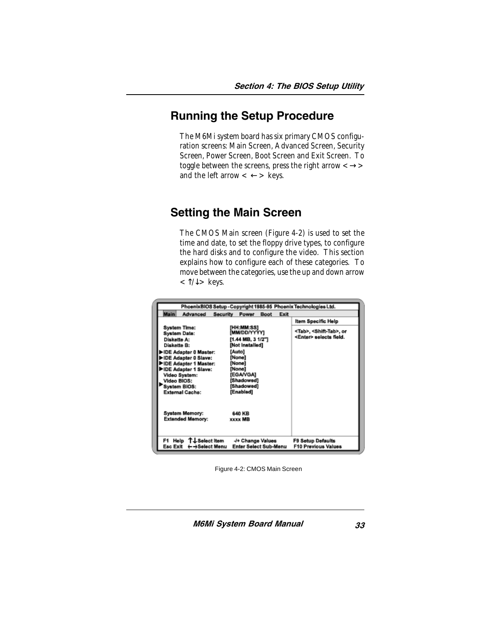### Running the Setup Procedure

The M6Mi system board has six primary CMOS configuration screens: Main Screen, Advanced Screen, Security Screen, Power Screen, Boot Screen and Exit Screen. To toggle between the screens, press the right arrow  $\langle \rightarrow \rangle$ and the left arrow  $\lt \leftarrow$  > keys.

### Setting the Main Screen

The CMOS Main screen (Figure 4-2) is used to set the time and date, to set the floppy drive types, to configure the hard disks and to configure the video. This section explains how to configure each of these categories. To move between the categories, use the up and down arrow  $<$  T/ $\downarrow$  > keys.

Figure 4-2: CMOS Main Screen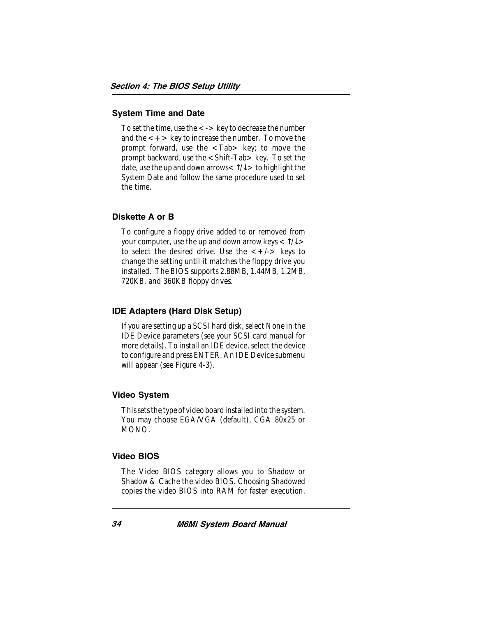#### System Time and Date

To set the time, use the  $\lt$  -  $>$  key to decrease the number and the  $\lt$  +  $>$  key to increase the number. To move the prompt forward, use the  $\langle$ Tab  $\rangle$  key; to move the prompt backward, use the <Shift-Tab> key. To set the date, use the up and down arrows $<\uparrow/\downarrow>$  to highlight the System Date and follow the same procedure used to set the time.

#### Diskette A or B

To configure a floppy drive added to or removed from your computer, use the up and down arrow keys  $\langle \uparrow \rangle \downarrow$ to select the desired drive. Use the  $\lt +/-$  keys to change the setting until it matches the floppy drive you installed. The BIOS supports 2.88MB, 1.44MB, 1.2MB, 720KB, and 360KB floppy drives.

#### IDE Adapters (Hard Disk Setup)

If you are setting up a SCSI hard disk, select None in the IDE Device parameters (see your SCSI card manual for more details). To install an IDE device, select the device to configure and press ENTER. An IDE Device submenu will appear (see Figure 4-3).

#### Video System

This sets the type of video board installed into the system. You may choose EGA/VGA (default), CGA 80x25 or MONO.

#### Video BIOS

The Video BIOS category allows you to Shadow or Shadow & Cache the video BIOS. Choosing Shadowed copies the video BIOS into RAM for faster execution.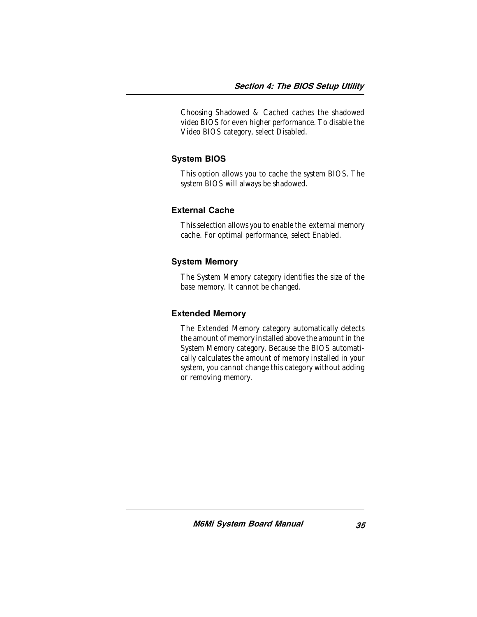Choosing Shadowed & Cached caches the shadowed video BIOS for even higher performance. To disable the Video BIOS category, select Disabled.

#### System BIOS

This option allows you to cache the system BIOS. The system BIOS will always be shadowed.

#### External Cache

This selection allows you to enable the external memory cache. For optimal performance, select Enabled.

#### System Memory

The System Memory category identifies the size of the base memory. It cannot be changed.

#### Extended Memory

The Extended Memory category automatically detects the amount of memory installed above the amount in the System Memory category. Because the BIOS automatically calculates the amount of memory installed in your system, you cannot change this category without adding or removing memory.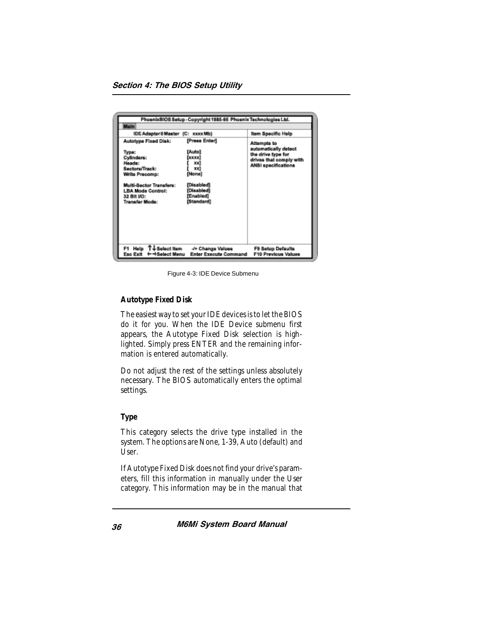|                                                                                                                                                                                        | PhoenixBIOS Setup - Copyright 1985-95 Phoenix Technologies Ltd.                                                |                                                                                                             |
|----------------------------------------------------------------------------------------------------------------------------------------------------------------------------------------|----------------------------------------------------------------------------------------------------------------|-------------------------------------------------------------------------------------------------------------|
| <b>Main</b>                                                                                                                                                                            |                                                                                                                |                                                                                                             |
| IDE Adapter 0 Master (C: xxxx Mb)                                                                                                                                                      |                                                                                                                | Item Specific Help                                                                                          |
| Autotype Fixed Disk:<br>Type:<br>Cylinders:<br>Heads:<br>Sectors/Track:<br>Write Precomp:<br>Multi-Sector Transfers:<br><b>LBA Mode Control:</b><br>32 BH VO:<br><b>Transfar Mode:</b> | [Press Enter]<br>[Auto]<br>[xxxx]<br>ж<br>xx1<br>[None]<br>[Disabled]<br>[Disabled]<br>[Enabled]<br>[Standard] | Attempts to<br>automatically detect<br>the drive type for<br>drives that comply with<br>ANSI specifications |
| F1 Help T↓Selectitem<br>Esc Exit<br>← →Select Menu                                                                                                                                     | -/+ Change Values<br><b>Enter Execute Command</b>                                                              | F9 Setup Defaults<br>F10 Previous Values                                                                    |

Figure 4-3: IDE Device Submenu

#### **Autotype Fixed Disk**

The easiest way to set your IDE devices is to let the BIOS do it for you. When the IDE Device submenu first appears, the Autotype Fixed Disk selection is highlighted. Simply press ENTER and the remaining information is entered automatically.

Do not adjust the rest of the settings unless absolutely necessary. The BIOS automatically enters the optimal settings.

#### **Type**

This category selects the drive type installed in the system. The options are None, 1-39, Auto (default) and User.

If Autotype Fixed Disk does not find your drive's parameters, fill this information in manually under the User category. This information may be in the manual that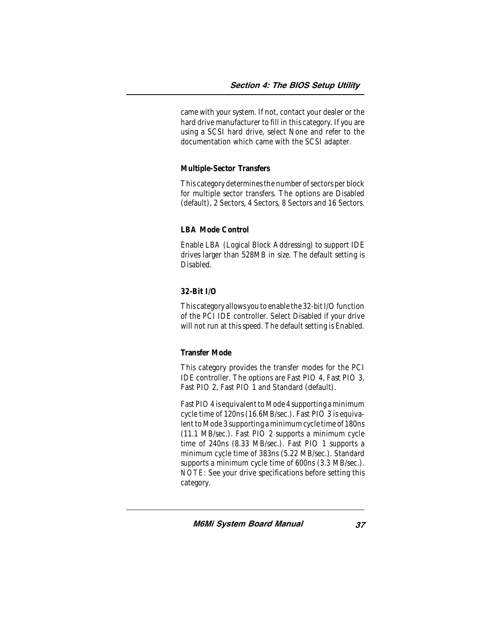came with your system. If not, contact your dealer or the hard drive manufacturer to fill in this category. If you are using a SCSI hard drive, select None and refer to the documentation which came with the SCSI adapter.

#### **Multiple-Sector Transfers**

This category determines the number of sectors per block for multiple sector transfers. The options are Disabled (default), 2 Sectors, 4 Sectors, 8 Sectors and 16 Sectors.

#### **LBA Mode Control**

Enable LBA (Logical Block Addressing) to support IDE drives larger than 528MB in size. The default setting is Disabled.

#### **32-Bit I/O**

This category allows you to enable the 32-bit I/O function of the PCI IDE controller. Select Disabled if your drive will not run at this speed. The default setting is Enabled.

#### **Transfer Mode**

This category provides the transfer modes for the PCI IDE controller. The options are Fast PIO 4, Fast PIO 3, Fast PIO 2, Fast PIO 1 and Standard (default).

Fast PIO 4 is equivalent to Mode 4 supporting a minimum cycle time of 120ns (16.6MB/sec.). Fast PIO 3 is equivalent to Mode 3 supporting a minimum cycle time of 180ns (11.1 MB/sec.). Fast PIO 2 supports a minimum cycle time of 240ns (8.33 MB/sec.). Fast PIO 1 supports a minimum cycle time of 383ns (5.22 MB/sec.). Standard supports a minimum cycle time of 600ns (3.3 MB/sec.). *NOTE:* See your drive specifications before setting this category.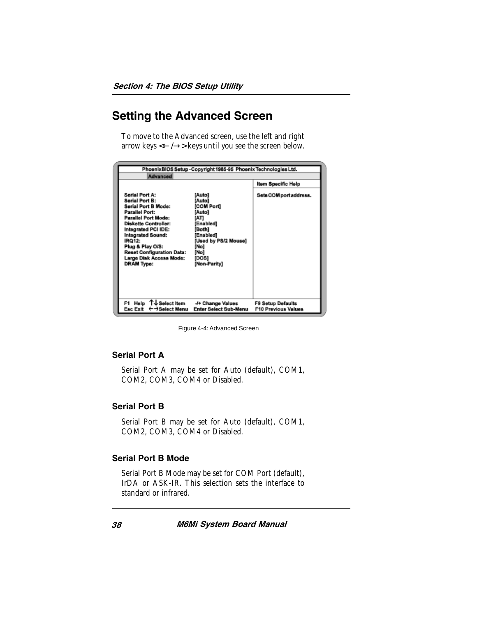### Setting the Advanced Screen

To move to the Advanced screen, use the left and right arrow keys  $\leftarrow$ / $\rightarrow$ > keys until you see the screen below.



Figure 4-4: Advanced Screen

#### Serial Port A

Serial Port A may be set for Auto (default), COM1, COM2, COM3, COM4 or Disabled.

#### Serial Port B

Serial Port B may be set for Auto (default), COM1, COM2, COM3, COM4 or Disabled.

#### Serial Port B Mode

Serial Port B Mode may be set for COM Port (default), IrDA or ASK-IR. This selection sets the interface to standard or infrared.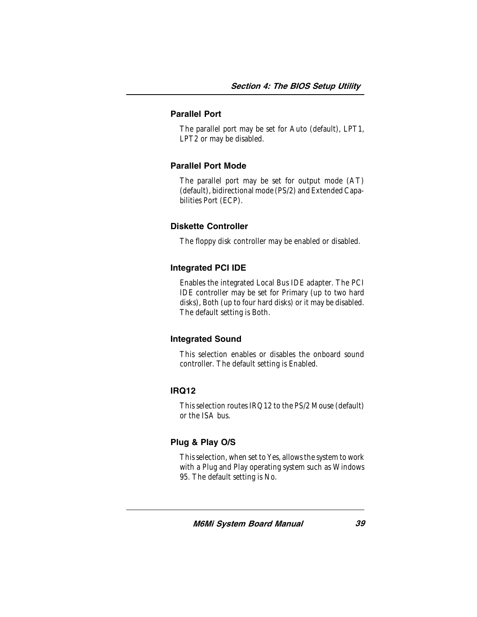#### Parallel Port

The parallel port may be set for Auto (default), LPT1, LPT2 or may be disabled.

#### Parallel Port Mode

The parallel port may be set for output mode (AT) (default), bidirectional mode (PS/2) and Extended Capabilities Port (ECP).

#### Diskette Controller

The floppy disk controller may be enabled or disabled.

#### Integrated PCI IDE

Enables the integrated Local Bus IDE adapter. The PCI IDE controller may be set for Primary (up to two hard disks), Both (up to four hard disks) or it may be disabled. The default setting is Both.

#### Integrated Sound

This selection enables or disables the onboard sound controller. The default setting is Enabled.

#### IRQ12

This selection routes IRQ12 to the PS/2 Mouse (default) or the ISA bus.

#### Plug & Play O/S

This selection, when set to Yes, allows the system to work with a Plug and Play operating system such as Windows 95. The default setting is No.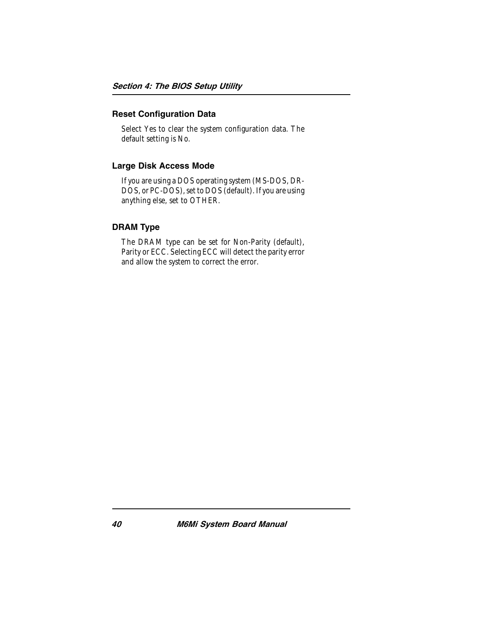#### Reset Configuration Data

Select Yes to clear the system configuration data. The default setting is No.

#### Large Disk Access Mode

If you are using a DOS operating system (MS-DOS, DR-DOS, or PC-DOS), set to DOS (default). If you are using anything else, set to OTHER.

#### DRAM Type

The DRAM type can be set for Non-Parity (default), Parity or ECC. Selecting ECC will detect the parity error and allow the system to correct the error.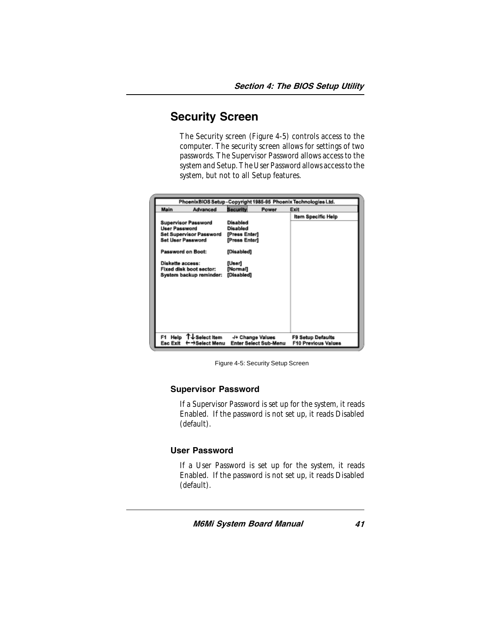### Security Screen

The Security screen (Figure 4-5) controls access to the computer. The security screen allows for settings of two passwords. The Supervisor Password allows access to the system and Setup. The User Password allows access to the system, but not to all Setup features.

| PhoenixBIOS Setup - Copyright 1985-95 Phoenix Technologies Ltd. |                                                                                                                                                                     |                                                                                                                        |       |                                                        |
|-----------------------------------------------------------------|---------------------------------------------------------------------------------------------------------------------------------------------------------------------|------------------------------------------------------------------------------------------------------------------------|-------|--------------------------------------------------------|
| Main                                                            | Advanced                                                                                                                                                            | <b>Security</b>                                                                                                        | Power | Exit                                                   |
| <b>User Password</b><br>Diskette access:                        | <b>Supervisor Password</b><br><b>Set Supervisor Password</b><br><b>Set User Password</b><br>Password on Boot:<br>Fixed disk boot sector:<br>System backup reminder: | <b>Disabled</b><br><b>Disabled</b><br>[Press Enter]<br>[Press Enter]<br>[Disabled]<br>[User]<br>[Normal]<br>[Disabled] |       | Item Specific Help                                     |
| F1.                                                             | Help T↓Select item<br>Esc Exit ← → Select Menu                                                                                                                      | -/+ Change Values<br><b>Enter Select Sub-Menu</b>                                                                      |       | <b>F9 Setup Defaults</b><br><b>F10 Previous Values</b> |

Figure 4-5: Security Setup Screen

#### Supervisor Password

If a Supervisor Password is set up for the system, it reads Enabled. If the password is not set up, it reads Disabled (default).

#### User Password

If a User Password is set up for the system, it reads Enabled. If the password is not set up, it reads Disabled (default).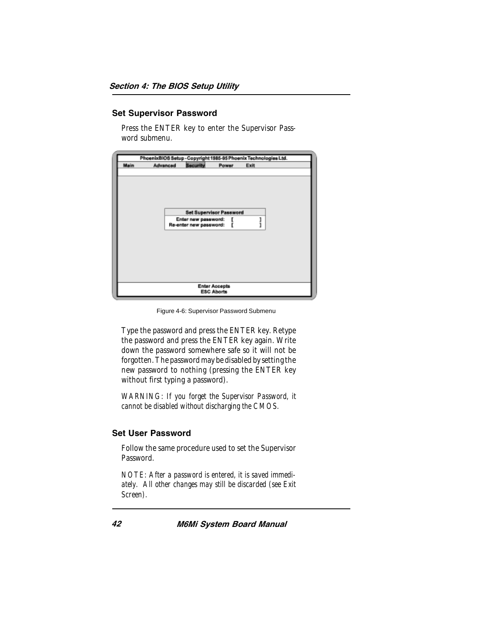#### Set Supervisor Password

Press the ENTER key to enter the Supervisor Password submenu.

|      |          |                                |                      | PhoenixBIOS Setup - Copyright 1985-95 Phoenix Technologies Ltd. |  |
|------|----------|--------------------------------|----------------------|-----------------------------------------------------------------|--|
| Main | Advanced | <b>Security</b>                | Power                | Exit                                                            |  |
|      |          |                                |                      |                                                                 |  |
|      |          |                                |                      |                                                                 |  |
|      |          |                                |                      |                                                                 |  |
|      |          |                                |                      |                                                                 |  |
|      |          | <b>Set Supervisor Password</b> |                      |                                                                 |  |
|      |          | Enter new password:            |                      |                                                                 |  |
|      |          | Re-enter new password:         |                      |                                                                 |  |
|      |          |                                |                      |                                                                 |  |
|      |          |                                |                      |                                                                 |  |
|      |          |                                |                      |                                                                 |  |
|      |          |                                |                      |                                                                 |  |
|      |          |                                |                      |                                                                 |  |
|      |          |                                |                      |                                                                 |  |
|      |          |                                | <b>Enter Accepts</b> |                                                                 |  |
|      |          |                                | <b>ESC Aborts</b>    |                                                                 |  |

Figure 4-6: Supervisor Password Submenu

Type the password and press the ENTER key. Retype the password and press the ENTER key again. Write down the password somewhere safe so it will not be forgotten. The password may be disabled by setting the new password to nothing (pressing the ENTER key without first typing a password).

*WARNING: If you forget the Supervisor Password, it cannot be disabled without discharging the CMOS.*

#### Set User Password

Follow the same procedure used to set the Supervisor Password.

*NOTE: After a password is entered, it is saved immediately. All other changes may still be discarded (see Exit Screen).*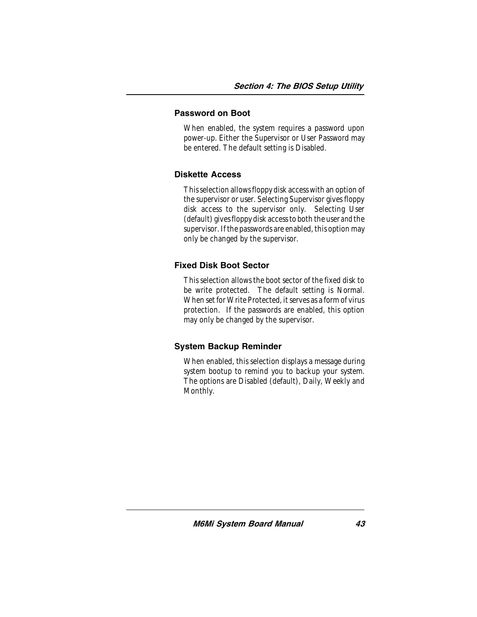#### Password on Boot

When enabled, the system requires a password upon power-up. Either the Supervisor or User Password may be entered. The default setting is Disabled.

#### Diskette Access

This selection allows floppy disk access with an option of the supervisor or user. Selecting Supervisor gives floppy disk access to the supervisor only. Selecting User (default) gives floppy disk access to both the user *and* the supervisor. If the passwords are enabled, this option may only be changed by the supervisor.

#### Fixed Disk Boot Sector

This selection allows the boot sector of the fixed disk to be write protected. The default setting is Normal. When set for Write Protected, it serves as a form of virus protection. If the passwords are enabled, this option may only be changed by the supervisor.

#### System Backup Reminder

When enabled, this selection displays a message during system bootup to remind you to backup your system. The options are Disabled (default), Daily, Weekly and Monthly.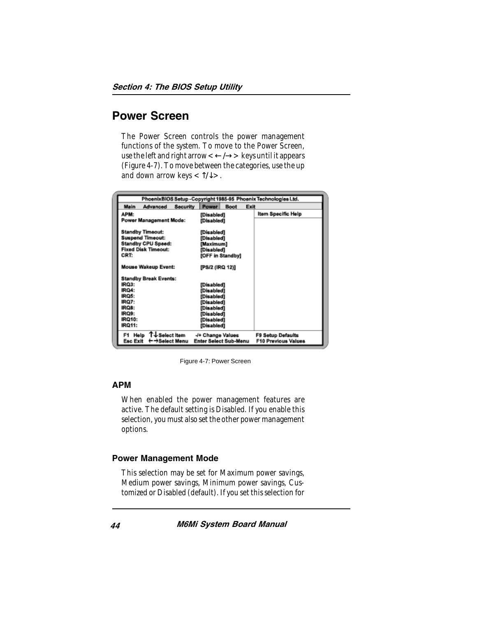### Power Screen

The Power Screen controls the power management functions of the system. To move to the Power Screen, use the left and right arrow  $\lt\leftarrow/\to>$  keys until it appears (Figure 4-7). To move between the categories, use the up and down arrow keys  $\langle \uparrow \uparrow \downarrow \rangle$ .

|                                                                                                                       | PhoenixBIOS Setup - Copyright 1985-95 Phoenix Technologies Ltd.         |                                                        |
|-----------------------------------------------------------------------------------------------------------------------|-------------------------------------------------------------------------|--------------------------------------------------------|
| Main<br>Advanced<br><b>Security</b>                                                                                   | <b>Power</b><br><b>Boot</b><br>Exit                                     |                                                        |
| APM:<br>Power Management Mode:                                                                                        | [Disabled]<br>[Disabled]                                                | Item Specific Help                                     |
| <b>Standby Timeout:</b><br><b>Suspend Timeout:</b><br><b>Standby CPU Speed:</b><br><b>Fixed Disk Timeout:</b><br>CRT: | [Disabled]<br>[Disabled]<br>[Maximum]<br>[Disabled]<br>[OFF in Standby] |                                                        |
| <b>Mouse Wakeup Event:</b>                                                                                            | [PS/2 (IRQ 12)]                                                         |                                                        |
| <b>Standby Break Events:</b>                                                                                          |                                                                         |                                                        |
| IRQ3:                                                                                                                 | [Disabled]                                                              |                                                        |
| IRQ4:                                                                                                                 | [Disabled]                                                              |                                                        |
| IRQ5:                                                                                                                 | [Disabled]                                                              |                                                        |
| IRQ7:<br>IRQ8:                                                                                                        | [Disabled]<br>[Disabled]                                                |                                                        |
| IRQ9:                                                                                                                 | [Disabled]                                                              |                                                        |
| IRQ10:                                                                                                                | [Disabled]                                                              |                                                        |
| <b>IRQ11:</b>                                                                                                         | [Disabled]                                                              |                                                        |
| Help T↓Select Item<br>F1.<br>Esc Exit<br>← →Select Menu                                                               | -/+ Change Values<br>Enter Select Sub-Menu                              | <b>F9 Setup Defaults</b><br><b>F10 Previous Values</b> |

Figure 4-7: Power Screen

#### APM

When enabled the power management features are active. The default setting is Disabled. If you enable this selection, you must also set the other power management options.

#### Power Management Mode

This selection may be set for Maximum power savings, Medium power savings, Minimum power savings, Customized or Disabled (default). If you set this selection for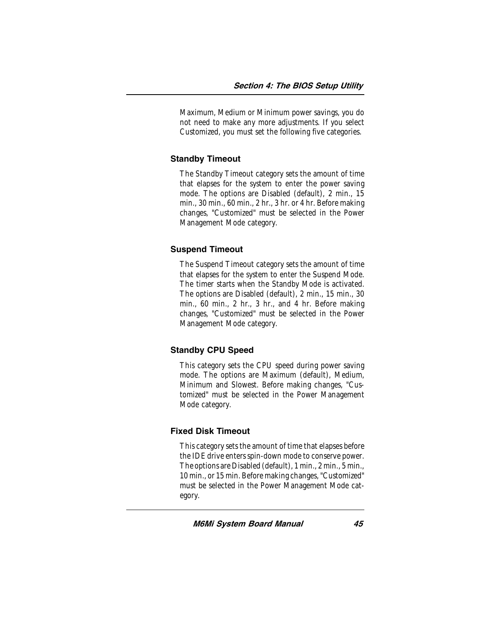Maximum, Medium or Minimum power savings, you do not need to make any more adjustments. If you select Customized, you must set the following five categories.

#### Standby Timeout

The Standby Timeout category sets the amount of time that elapses for the system to enter the power saving mode. The options are Disabled (default), 2 min., 15 min., 30 min., 60 min., 2 hr., 3 hr. or 4 hr. Before making changes, "Customized" must be selected in the Power Management Mode category.

#### Suspend Timeout

The Suspend Timeout category sets the amount of time that elapses for the system to enter the Suspend Mode. The timer starts when the Standby Mode is activated. The options are Disabled (default), 2 min., 15 min., 30 min., 60 min., 2 hr., 3 hr., and 4 hr. Before making changes, "Customized" must be selected in the Power Management Mode category.

#### Standby CPU Speed

This category sets the CPU speed during power saving mode. The options are Maximum (default), Medium, Minimum and Slowest. Before making changes, "Customized" must be selected in the Power Management Mode category.

#### Fixed Disk Timeout

This category sets the amount of time that elapses before the IDE drive enters spin-down mode to conserve power. The options are Disabled (default), 1 min., 2 min., 5 min., 10 min., or 15 min. Before making changes, "Customized" must be selected in the Power Management Mode category.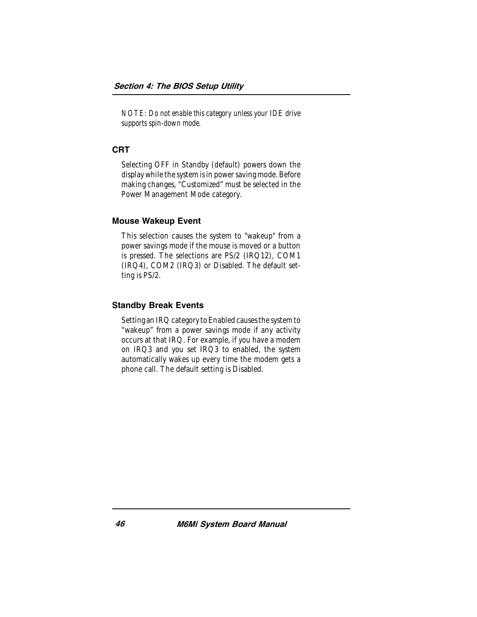*NOTE: Do not enable this category unless your IDE drive supports spin-down mode.*

#### CRT

Selecting OFF in Standby (default) powers down the display while the system is in power saving mode. Before making changes, "Customized" must be selected in the Power Management Mode category.

#### Mouse Wakeup Event

This selection causes the system to "wakeup" from a power savings mode if the mouse is moved or a button is pressed. The selections are PS/2 (IRQ12), COM1 (IRQ4), COM2 (IRQ3) or Disabled. The default setting is PS/2.

#### Standby Break Events

Setting an IRQ category to Enabled causes the system to "wakeup" from a power savings mode if any activity occurs at that IRQ. For example, if you have a modem on IRQ3 and you set IRQ3 to enabled, the system automatically wakes up every time the modem gets a phone call. The default setting is Disabled.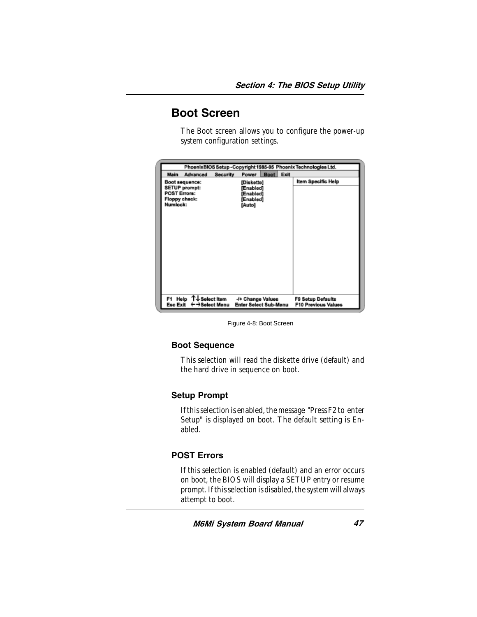### Boot Screen

The Boot screen allows you to configure the power-up system configuration settings.

|                                                                                                   |                                                                   | PhoenixBIOS Setup-Copyright 1985-95 Phoenix Technologies Ltd. |
|---------------------------------------------------------------------------------------------------|-------------------------------------------------------------------|---------------------------------------------------------------|
| <b>Main</b><br>Advanced                                                                           | <b>Boot</b><br><b>Security</b><br>Power                           | Exit                                                          |
| Boot sequence:<br><b>SETUP prompt:</b><br><b>POST Errors:</b><br><b>Floppy check:</b><br>Numlock: | [Diskette]<br>[Enabled]<br>[Enabled]<br>[Enabled]<br>[Auto]       | Item Specific Help                                            |
| Help ↑↓Select Item<br>F1.<br><b>Esc Exit</b>                                                      | -/+ Change Values<br><b>Enter Select Sub-Menu</b><br>→Select Menu | <b>F9 Setup Defaults</b><br><b>F10 Previous Values</b>        |

Figure 4-8: Boot Screen

#### Boot Sequence

This selection will read the diskette drive (default) and the hard drive in sequence on boot.

#### Setup Prompt

If this selection is enabled, the message "Press F2 to enter Setup" is displayed on boot. The default setting is Enabled.

#### POST Errors

If this selection is enabled (default) and an error occurs on boot, the BIOS will display a SETUP entry or resume prompt. If this selection is disabled, the system will always attempt to boot.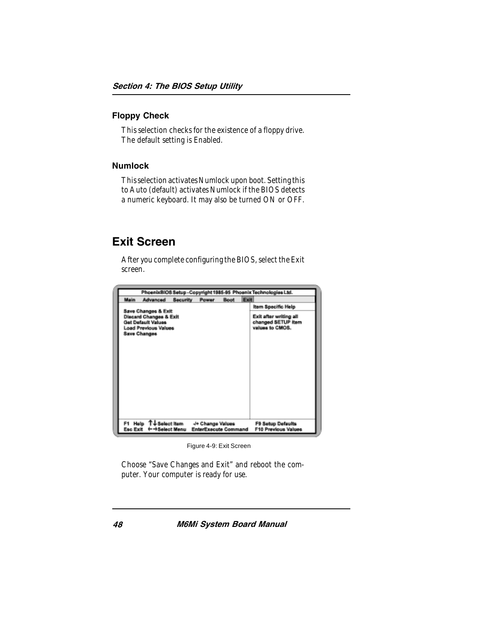#### Floppy Check

This selection checks for the existence of a floppy drive. The default setting is Enabled.

#### Numlock

This selection activates Numlock upon boot. Setting this to Auto (default) activates Numlock if the BIOS detects a numeric keyboard. It may also be turned ON or OFF.

### Exit Screen

After you complete configuring the BIOS, select the Exit screen.

| PhoenixBIOS Setup - Copyright 1985-95 Phoenix Technologies Ltd. |                                                                                                                                             |                 |                                                  |             |      |                                                                 |
|-----------------------------------------------------------------|---------------------------------------------------------------------------------------------------------------------------------------------|-----------------|--------------------------------------------------|-------------|------|-----------------------------------------------------------------|
| Main                                                            | Advanced                                                                                                                                    | <b>Security</b> | Power                                            | <b>Boot</b> | Exit |                                                                 |
|                                                                 |                                                                                                                                             |                 |                                                  |             |      | Item Specific Help                                              |
|                                                                 | Save Changes & Exit<br><b>Discard Changes &amp; Exit</b><br><b>Get Default Values</b><br><b>Load Previous Values</b><br><b>Save Changes</b> |                 |                                                  |             |      | Exit after writing all<br>changed SETUP item<br>values to CMOS. |
| Esc Exit                                                        | F1 Help T↓Selectitem<br>←→Select Menu                                                                                                       |                 | -/+ Change Values<br><b>EnterExecute Command</b> |             |      | F9 Setup Defaults<br><b>F10 Previous Values</b>                 |

Figure 4-9: Exit Screen

Choose "Save Changes and Exit" and reboot the computer. Your computer is ready for use.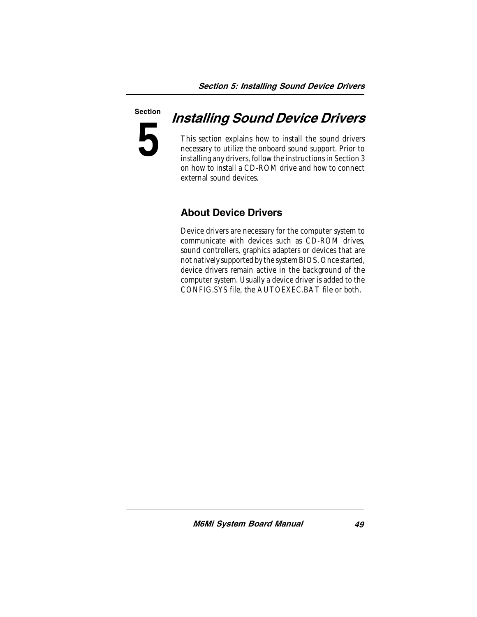# **5** Section

## Installing Sound Device Drivers

This section explains how to install the sound drivers necessary to utilize the onboard sound support. Prior to installing any drivers, follow the instructions in Section 3 on how to install a CD-ROM drive and how to connect external sound devices.

### About Device Drivers

Device drivers are necessary for the computer system to communicate with devices such as CD-ROM drives, sound controllers, graphics adapters or devices that are not natively supported by the system BIOS. Once started, device drivers remain active in the background of the computer system. Usually a device driver is added to the CONFIG.SYS file, the AUTOEXEC.BAT file or both.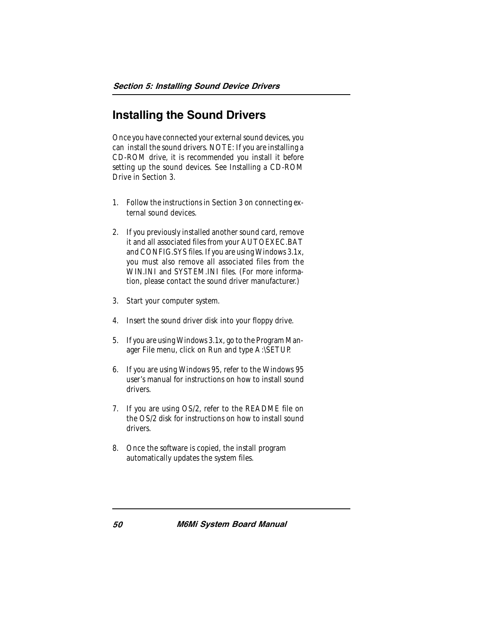### Installing the Sound Drivers

Once you have connected your external sound devices, you can install the sound drivers. NOTE: If you are installing a CD-ROM drive, it is recommended you install it before setting up the sound devices. See Installing a CD-ROM Drive in Section 3.

- 1. Follow the instructions in Section 3 on connecting external sound devices.
- 2. If you previously installed another sound card, remove it and all associated files from your AUTOEXEC.BAT and CONFIG.SYS files. If you are using Windows 3.1x, you must also remove all associated files from the WIN.INI and SYSTEM.INI files. (For more information, please contact the sound driver manufacturer.)
- 3. Start your computer system.
- 4. Insert the sound driver disk into your floppy drive.
- 5. If you are using Windows 3.1x, go to the Program Manager File menu, click on Run and type A:\SETUP.
- 6. If you are using Windows 95, refer to the Windows 95 user's manual for instructions on how to install sound drivers.
- 7. If you are using OS/2, refer to the README file on the OS/2 disk for instructions on how to install sound drivers.
- 8. Once the software is copied, the install program automatically updates the system files.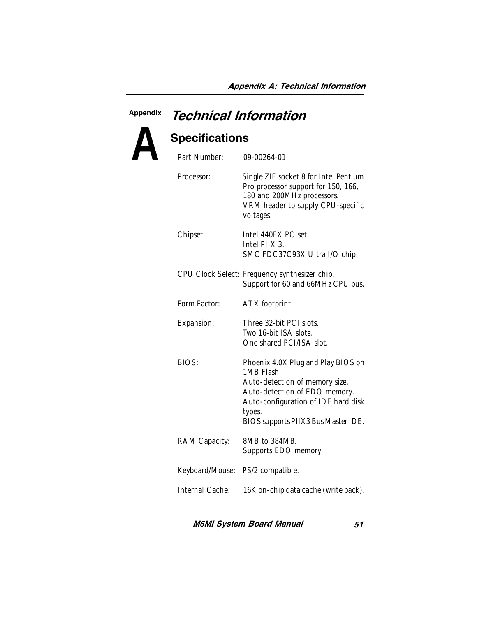### **A** Appendix Technical Information Specifications Part Number: 09-00264-01

| Part Number:    | 09-00264-01                                                                                                                                                                                                 |
|-----------------|-------------------------------------------------------------------------------------------------------------------------------------------------------------------------------------------------------------|
| Processor:      | Single ZIF socket 8 for Intel Pentium<br>Pro processor support for 150, 166,<br>180 and 200MHz processors.<br>VRM header to supply CPU-specific<br>voltages.                                                |
| Chipset:        | Intel 440FX PCIset.<br>Intel PIIX 3.<br>SMC FDC37C93X Ultra I/O chip.                                                                                                                                       |
|                 | CPU Clock Select: Frequency synthesizer chip.<br>Support for 60 and 66MHz CPU bus.                                                                                                                          |
| Form Factor:    | ATX footprint                                                                                                                                                                                               |
| Expansion:      | Three 32-bit PCI slots.<br>Two 16-bit ISA slots.<br>One shared PCI/ISA slot.                                                                                                                                |
| BIOS:           | Phoenix 4.0X Plug and Play BIOS on<br>1MB Flash.<br>Auto-detection of memory size.<br>Auto-detection of EDO memory.<br>Auto-configuration of IDE hard disk<br>types.<br>BIOS supports PIIX3 Bus Master IDE. |
| RAM Capacity:   | 8MB to 384MB.<br>Supports EDO memory.                                                                                                                                                                       |
| Keyboard/Mouse: | PS/2 compatible.                                                                                                                                                                                            |
| Internal Cache: | 16K on-chip data cache (write back).                                                                                                                                                                        |
|                 |                                                                                                                                                                                                             |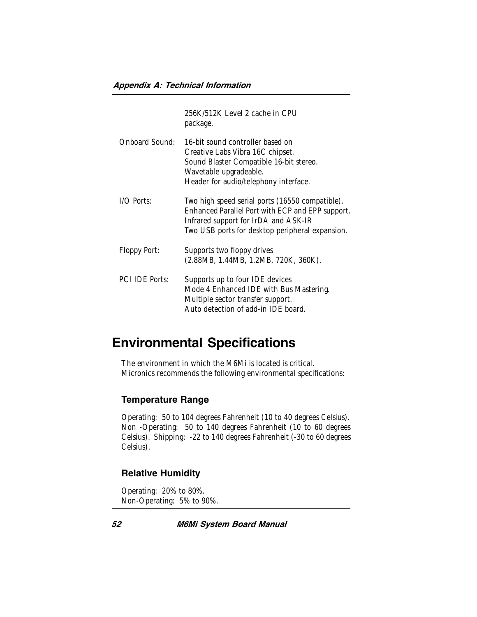|                       | 256K/512K Level 2 cache in CPU<br>package.                                                                                                                                                     |
|-----------------------|------------------------------------------------------------------------------------------------------------------------------------------------------------------------------------------------|
| Onboard Sound:        | 16-bit sound controller based on<br>Creative Labs Vibra 16C chipset.<br>Sound Blaster Compatible 16-bit stereo.<br>Wavetable upgradeable.<br>Header for audio/telephony interface.             |
| I/O Ports:            | Two high speed serial ports (16550 compatible).<br>Enhanced Parallel Port with ECP and EPP support.<br>Infrared support for IrDA and ASK-IR<br>Two USB ports for desktop peripheral expansion. |
| Floppy Port:          | Supports two floppy drives<br>(2.88MB, 1.44MB, 1.2MB, 720K, 360K).                                                                                                                             |
| <b>PCI IDE Ports:</b> | Supports up to four IDE devices<br>Mode 4 Enhanced IDE with Bus Mastering.<br>Multiple sector transfer support.<br>Auto detection of add-in IDE board.                                         |

### Environmental Specifications

The environment in which the M6Mi is located is critical. Micronics recommends the following environmental specifications:

#### Temperature Range

Operating: 50 to 104 degrees Fahrenheit (10 to 40 degrees Celsius). Non -Operating: 50 to 140 degrees Fahrenheit (10 to 60 degrees Celsius). Shipping: -22 to 140 degrees Fahrenheit (-30 to 60 degrees Celsius).

#### Relative Humidity

Operating: 20% to 80%. Non-Operating: 5% to 90%.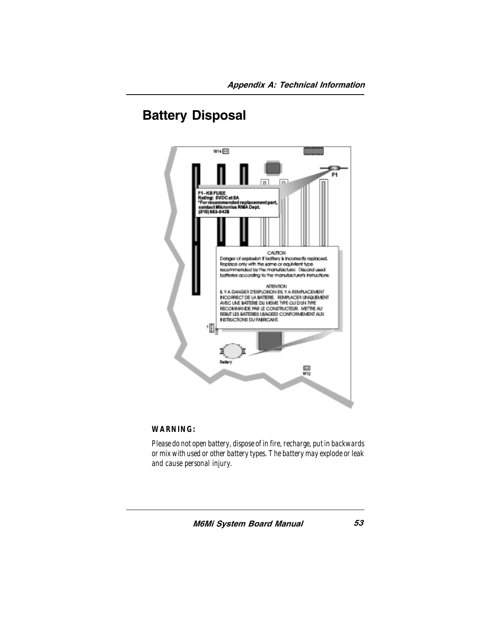### Battery Disposal



#### *WARNING:*

*Please do not open battery, dispose of in fire, recharge, put in backwards or mix with used or other battery types. The battery may explode or leak and cause personal injury.*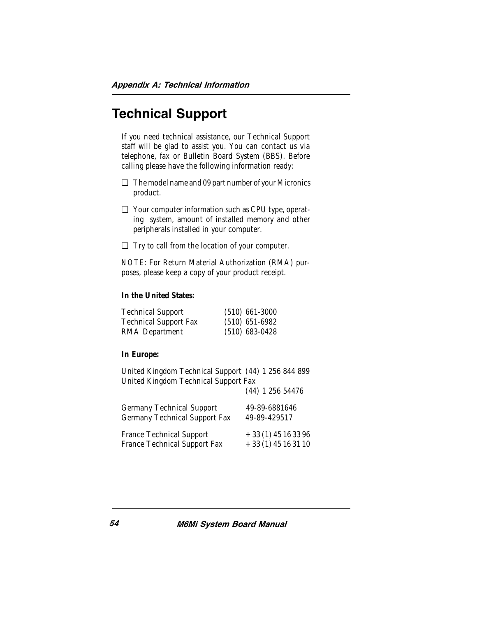### Technical Support

If you need technical assistance, our Technical Support staff will be glad to assist you. You can contact us via telephone, fax or Bulletin Board System (BBS). Before calling please have the following information ready:

- ❏ The model name and 09 part number of your Micronics product.
- ❏ Your computer information such as CPU type, operating system, amount of installed memory and other peripherals installed in your computer.
- ❏ Try to call from the location of your computer.

*NOTE:* For Return Material Authorization (RMA) purposes, please keep a copy of your product receipt.

#### **In the United States:**

| <b>Technical Support</b>     | $(510)$ 661-3000 |
|------------------------------|------------------|
| <b>Technical Support Fax</b> | $(510)$ 651-6982 |
| RMA Department               | $(510)$ 683-0428 |

#### **In Europe:**

United Kingdom Technical Support (44) 1 256 844 899 United Kingdom Technical Support Fax

(44) 1 256 54476

|                                 | 1 1 1 200 0 1 1 1 0  |
|---------------------------------|----------------------|
| Germany Technical Support       | 49-89-6881646        |
| Germany Technical Support Fax   | 49-89-429517         |
| <b>France Technical Support</b> | $+33(1)$ 45 16 33 96 |
| France Technical Support Fax    | $+33(1)45163110$     |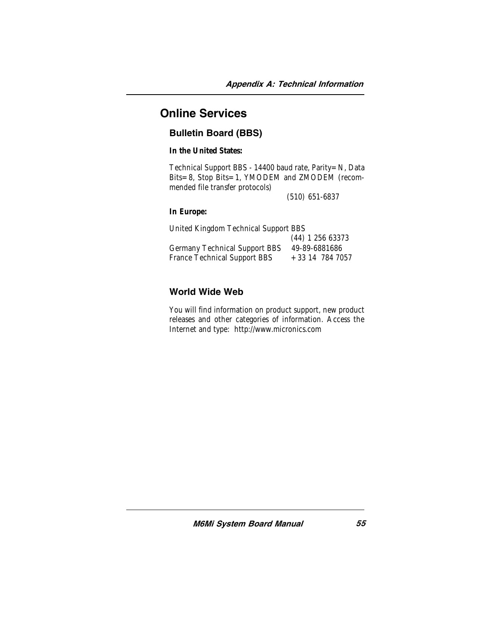### Online Services

### Bulletin Board (BBS)

**In the United States:**

Technical Support BBS - 14400 baud rate, Parity=N, Data Bits=8, Stop Bits=1, YMODEM and ZMODEM (recommended file transfer protocols)

(510) 651-6837

#### **In Europe:**

| United Kingdom Technical Support BBS |                    |  |  |
|--------------------------------------|--------------------|--|--|
|                                      | $(44)$ 1 256 63373 |  |  |
| <b>Germany Technical Support BBS</b> | 49-89-6881686      |  |  |
| France Technical Support BBS         | $+33$ 14 784 7057  |  |  |

#### World Wide Web

You will find information on product support, new product releases and other categories of information. Access the Internet and type: http://www.micronics.com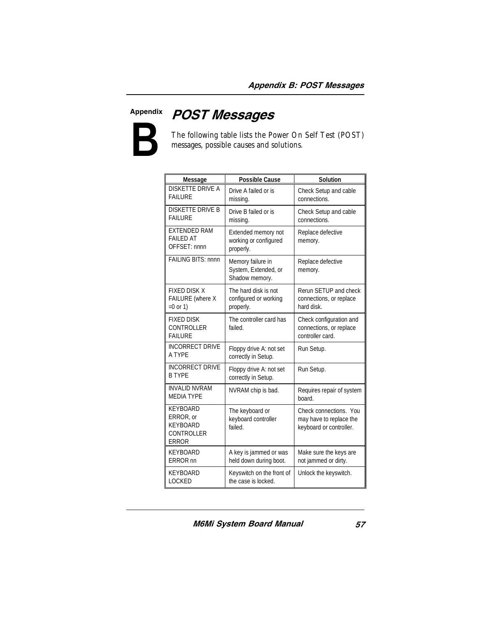

Appendix POST Messages

The following table lists the Power On Self Test (POST) messages, possible causes and solutions.

| Message                                                                              | <b>Possible Cause</b>                                       | Solution                                                                     |
|--------------------------------------------------------------------------------------|-------------------------------------------------------------|------------------------------------------------------------------------------|
| <b>DISKETTE DRIVE A</b><br><b>FAILURE</b>                                            | Drive A failed or is<br>missing.                            | Check Setup and cable<br>connections.                                        |
| <b>DISKETTE DRIVE B</b><br><b>FAILURE</b>                                            | Drive B failed or is<br>missing.                            | Check Setup and cable<br>connections.                                        |
| <b>EXTENDED RAM</b><br><b>FAILED AT</b><br>OFFSET: nnnn                              | Extended memory not<br>working or configured<br>properly.   | Replace defective<br>memory.                                                 |
| FAILING BITS: nnnn                                                                   | Memory failure in<br>System, Extended, or<br>Shadow memory. | Replace defective<br>memory.                                                 |
| <b>FIXED DISK X</b><br>FAILURE (where X<br>$=0$ or 1)                                | The hard disk is not<br>configured or working<br>properly.  | Rerun SETUP and check<br>connections, or replace<br>hard disk.               |
| <b>FIXED DISK</b><br><b>CONTROLLER</b><br><b>FAILURE</b>                             | The controller card has<br>failed.                          | Check configuration and<br>connections, or replace<br>controller card.       |
| <b>INCORRECT DRIVE</b><br>A TYPF                                                     | Floppy drive A: not set<br>correctly in Setup.              | Run Setup.                                                                   |
| <b>INCORRECT DRIVE</b><br><b>B TYPF</b>                                              | Floppy drive A: not set<br>correctly in Setup.              | Run Setup.                                                                   |
| <b>INVALID NVRAM</b><br><b>MEDIA TYPE</b>                                            | NVRAM chip is bad.                                          | Requires repair of system<br>board.                                          |
| <b>KEYBOARD</b><br>ERROR, or<br><b>KEYBOARD</b><br><b>CONTROLLER</b><br><b>ERROR</b> | The keyboard or<br>keyboard controller<br>failed.           | Check connections. You<br>may have to replace the<br>keyboard or controller. |
| <b>KEYBOARD</b><br>ERROR <sub>nn</sub>                                               | A key is jammed or was<br>held down during boot.            | Make sure the keys are<br>not jammed or dirty.                               |
| <b>KEYBOARD</b><br><b>LOCKED</b>                                                     | Keyswitch on the front of<br>the case is locked.            | Unlock the keyswitch.                                                        |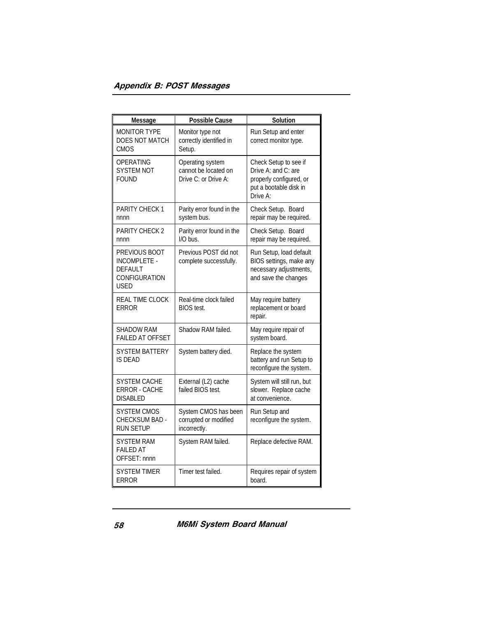| <b>Message</b>                                                                  | <b>Possible Cause</b>                                            | <b>Solution</b>                                                                                               |
|---------------------------------------------------------------------------------|------------------------------------------------------------------|---------------------------------------------------------------------------------------------------------------|
| <b>MONITOR TYPE</b><br>DOES NOT MATCH<br><b>CMOS</b>                            | Monitor type not<br>correctly identified in<br>Setup.            | Run Setup and enter<br>correct monitor type.                                                                  |
| OPERATING<br><b>SYSTEM NOT</b><br>FOUND                                         | Operating system<br>cannot be located on<br>Drive C: or Drive A: | Check Setup to see if<br>Drive A: and C: are<br>properly configured, or<br>put a bootable disk in<br>Drive A: |
| <b>PARITY CHECK 1</b><br>nnnn                                                   | Parity error found in the<br>system bus.                         | Check Setup. Board<br>repair may be required.                                                                 |
| PARITY CHECK 2<br>nnnn                                                          | Parity error found in the<br>I/O bus.                            | Check Setup. Board<br>repair may be required.                                                                 |
| PREVIOUS BOOT<br><b>INCOMPLETE -</b><br><b>DEFAULT</b><br>CONFIGURATION<br>USED | Previous POST did not<br>complete successfully.                  | Run Setup, load default<br>BIOS settings, make any<br>necessary adjustments,<br>and save the changes          |
| <b>REAL TIME CLOCK</b><br>ERROR                                                 | Real-time clock failed<br><b>BIOS</b> test.                      | May require battery<br>replacement or board<br>repair.                                                        |
| <b>SHADOW RAM</b><br><b>FAILED AT OFFSET</b>                                    | Shadow RAM failed.                                               | May require repair of<br>system board.                                                                        |
| SYSTEM BATTERY<br><b>IS DEAD</b>                                                | System battery died.                                             | Replace the system<br>battery and run Setup to<br>reconfigure the system.                                     |
| SYSTEM CACHE<br><b>ERROR - CACHE</b><br><b>DISABLED</b>                         | External (L2) cache<br>failed BIOS test.                         | System will still run, but<br>slower. Replace cache<br>at convenience.                                        |
| SYSTEM CMOS<br>CHECKSUM BAD -<br><b>RUN SETUP</b>                               | System CMOS has been<br>corrupted or modified<br>incorrectly.    | Run Setup and<br>reconfigure the system.                                                                      |
| SYSTEM RAM<br><b>FAILED AT</b><br>OFFSET: nnnn                                  | System RAM failed.                                               | Replace defective RAM.                                                                                        |
| SYSTEM TIMER<br><b>ERROR</b>                                                    | Timer test failed.                                               | Requires repair of system<br>board.                                                                           |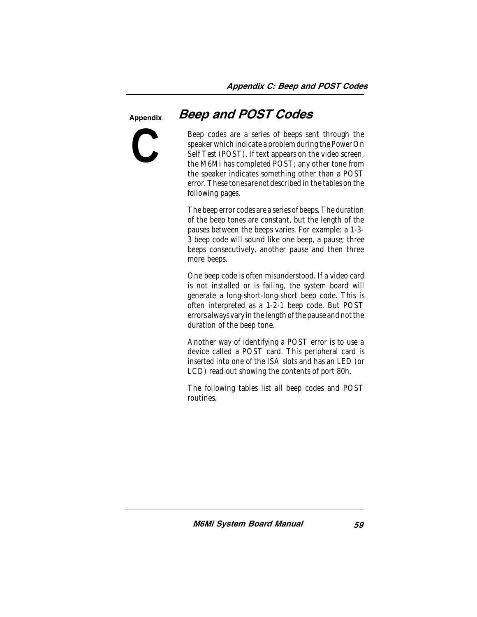#### **Appendix**



### Beep and POST Codes

Beep codes are a series of beeps sent through the speaker which indicate a problem during the Power On Self Test (POST). If text appears on the video screen, the M6Mi has completed POST; any other tone from the speaker indicates something other than a POST error. These tones *are not* described in the tables on the following pages.

The beep error codes are a series of beeps. The duration of the beep tones are constant, but the length of the pauses between the beeps varies. For example: a 1-3- 3 beep code will sound like one beep, a pause; three beeps consecutively, another pause and then three more beeps.

One beep code is often misunderstood. If a video card is not installed or is failing, the system board will generate a long-short-long-short beep code. This is often interpreted as a 1-2-1 beep code. But POST errors always vary in the length of the pause and not the duration of the beep tone.

Another way of identifying a POST error is to use a device called a POST card. This peripheral card is inserted into one of the ISA slots and has an LED (or LCD) read out showing the contents of port 80h.

The following tables list all beep codes and POST routines.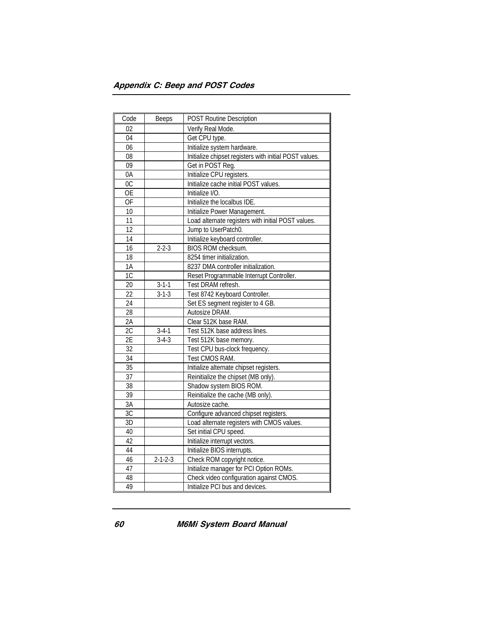| Code            | Beeps           | <b>POST Routine Description</b>                        |
|-----------------|-----------------|--------------------------------------------------------|
| 02              |                 | Verify Real Mode.                                      |
| 04              |                 | Get CPU type.                                          |
| 06              |                 | Initialize system hardware.                            |
| 08              |                 | Initialize chipset registers with initial POST values. |
| 09              |                 | Get in POST Reg.                                       |
| 0A              |                 | Initialize CPU registers.                              |
| 0C              |                 | Initialize cache initial POST values.                  |
| $\overline{OE}$ |                 | Initialize I/O.                                        |
| 0F              |                 | Initialize the localbus IDE.                           |
| 10              |                 | Initialize Power Management.                           |
| 11              |                 | Load alternate registers with initial POST values.     |
| 12              |                 | Jump to UserPatch0.                                    |
| 14              |                 | Initialize keyboard controller.                        |
| 16              | $2 - 2 - 3$     | BIOS ROM checksum.                                     |
| 18              |                 | 8254 timer initialization.                             |
| 1A              |                 | 8237 DMA controller initialization.                    |
| $\overline{1C}$ |                 | Reset Programmable Interrupt Controller.               |
| 20              | $3 - 1 - 1$     | Test DRAM refresh.                                     |
| 22              | $3 - 1 - 3$     | Test 8742 Keyboard Controller.                         |
| 24              |                 | Set ES segment register to 4 GB.                       |
| 28              |                 | Autosize DRAM.                                         |
| 2A              |                 | Clear 512K base RAM.                                   |
| 2C              | $3 - 4 - 1$     | Test 512K base address lines.                          |
| 2E              | $3-4-3$         | Test 512K base memory.                                 |
| 32              |                 | Test CPU bus-clock frequency.                          |
| $\overline{34}$ |                 | Test CMOS RAM.                                         |
| 35              |                 | Initialize alternate chipset registers.                |
| 37              |                 | Reinitialize the chipset (MB only).                    |
| 38              |                 | Shadow system BIOS ROM.                                |
| 39              |                 | Reinitialize the cache (MB only).                      |
| 3A              |                 | Autosize cache.                                        |
| 3C              |                 | Configure advanced chipset registers.                  |
| 3D              |                 | Load alternate registers with CMOS values.             |
| 40              |                 | Set initial CPU speed.                                 |
| 42              |                 | Initialize interrupt vectors.                          |
| 44              |                 | Initialize BIOS interrupts.                            |
| 46              | $2 - 1 - 2 - 3$ | Check ROM copyright notice.                            |
| 47              |                 | Initialize manager for PCI Option ROMs.                |
| 48              |                 | Check video configuration against CMOS.                |
| 49              |                 | Initialize PCI bus and devices.                        |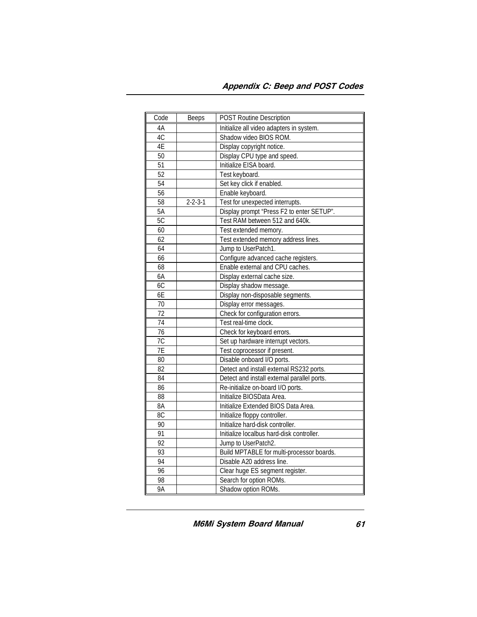| Code             | <b>Beeps</b>    | <b>POST Routine Description</b>             |
|------------------|-----------------|---------------------------------------------|
| 4A               |                 | Initialize all video adapters in system.    |
| 4C               |                 | Shadow video BIOS ROM.                      |
| 4E               |                 | Display copyright notice.                   |
| 50               |                 | Display CPU type and speed.                 |
| 51               |                 | Initialize EISA board.                      |
| 52               |                 | Test keyboard.                              |
| $\overline{54}$  |                 | Set key click if enabled.                   |
| $\overline{56}$  |                 | Enable keyboard.                            |
| 58               | $2 - 2 - 3 - 1$ | Test for unexpected interrupts.             |
| 5A               |                 | Display prompt "Press F2 to enter SETUP".   |
| 5C               |                 | Test RAM between 512 and 640k.              |
| 60               |                 | Test extended memory.                       |
| 62               |                 | Test extended memory address lines.         |
| 64               |                 | Jump to UserPatch1.                         |
| 66               |                 | Configure advanced cache registers.         |
| 68               |                 | Enable external and CPU caches.             |
| 6A               |                 | Display external cache size.                |
| 6C               |                 | Display shadow message.                     |
| 6E               |                 | Display non-disposable segments.            |
| 70               |                 | Display error messages.                     |
| $\overline{72}$  |                 | Check for configuration errors.             |
| 74               |                 | Test real-time clock.                       |
| $\overline{76}$  |                 | Check for keyboard errors.                  |
| 7 <sup>C</sup>   |                 | Set up hardware interrupt vectors.          |
| $\overline{7}$ E |                 | Test coprocessor if present.                |
| 80               |                 | Disable onboard I/O ports.                  |
| 82               |                 | Detect and install external RS232 ports.    |
| 84               |                 | Detect and install external parallel ports. |
| 86               |                 | Re-initialize on-board I/O ports.           |
| 88               |                 | Initialize BIOSData Area.                   |
| 8A               |                 | Initialize Extended BIOS Data Area.         |
| $\overline{8C}$  |                 | Initialize floppy controller.               |
| 90               |                 | Initialize hard-disk controller.            |
| 91               |                 | Initialize localbus hard-disk controller.   |
| 92               |                 | Jump to UserPatch2.                         |
| 93               |                 | Build MPTABLE for multi-processor boards.   |
| 94               |                 | Disable A20 address line.                   |
| 96               |                 | Clear huge ES segment register.             |
| 98               |                 | Search for option ROMs.                     |
| 9A               |                 | Shadow option ROMs.                         |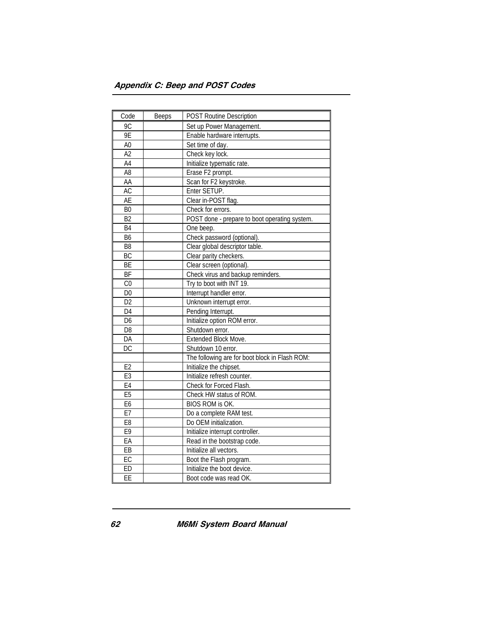| Code            | <b>Beeps</b> | <b>POST Routine Description</b>                |
|-----------------|--------------|------------------------------------------------|
| 9C              |              | Set up Power Management.                       |
| 9E              |              | Enable hardware interrupts.                    |
| A <sub>0</sub>  |              | Set time of day.                               |
| A <sub>2</sub>  |              | Check key lock.                                |
| $\overline{A4}$ |              | Initialize typematic rate.                     |
| A8              |              | Erase F2 prompt.                               |
| AA              |              | Scan for F2 keystroke.                         |
| <b>AC</b>       |              | Enter SETUP.                                   |
| <b>AE</b>       |              | Clear in-POST flag.                            |
| B <sub>0</sub>  |              | Check for errors.                              |
| B <sub>2</sub>  |              | POST done - prepare to boot operating system.  |
| <b>B4</b>       |              | One beep.                                      |
| B <sub>6</sub>  |              | Check password (optional).                     |
| B <sub>8</sub>  |              | Clear global descriptor table.                 |
| BC              |              | Clear parity checkers.                         |
| BE              |              | Clear screen (optional).                       |
| BF              |              | Check virus and backup reminders.              |
| $\overline{C}$  |              | Try to boot with INT 19.                       |
| D <sub>0</sub>  |              | Interrupt handler error.                       |
| D <sub>2</sub>  |              | Unknown interrupt error.                       |
| $\overline{D4}$ |              | Pending Interrupt.                             |
| D <sub>6</sub>  |              | Initialize option ROM error.                   |
| D <sub>8</sub>  |              | Shutdown error.                                |
| DA              |              | Extended Block Move.                           |
| $\overline{DC}$ |              | Shutdown 10 error.                             |
|                 |              | The following are for boot block in Flash ROM: |
| E2              |              | Initialize the chipset.                        |
| E <sub>3</sub>  |              | Initialize refresh counter.                    |
| E4              |              | Check for Forced Flash.                        |
| E5              |              | Check HW status of ROM.                        |
| E <sub>6</sub>  |              | <b>BIOS ROM is OK.</b>                         |
| E7              |              | Do a complete RAM test.                        |
| E <sub>8</sub>  |              | Do OEM initialization.                         |
| E9              |              | Initialize interrupt controller.               |
| EA              |              | Read in the bootstrap code.                    |
| EB              |              | Initialize all vectors.                        |
| EC              |              | Boot the Flash program.                        |
| ED              |              | Initialize the boot device.                    |
| $\overline{EE}$ |              | Boot code was read OK.                         |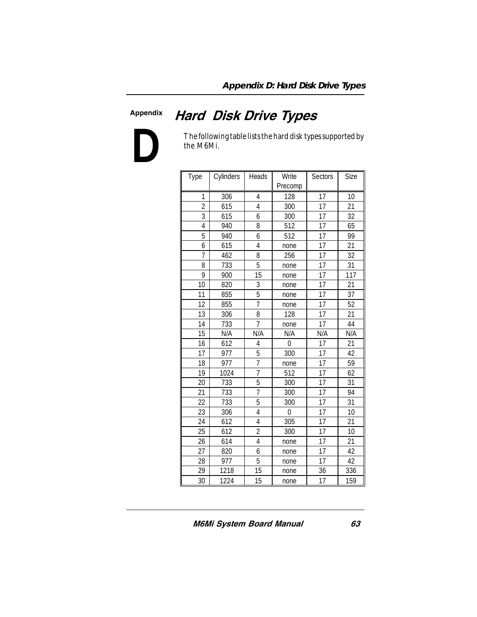#### Appendix

### Hard Disk Drive Types



The following table lists the hard disk types supported by the M6Mi.

| Type           | Cylinders | Heads           | Write<br>Precomp | Sectors | Size |
|----------------|-----------|-----------------|------------------|---------|------|
| 1              | 306       | 4               | 128              | 17      | 10   |
| $\overline{2}$ | 615       | 4               | 300              | 17      | 21   |
| 3              | 615       | 6               | 300              | 17      | 32   |
| 4              | 940       | 8               | 512              | 17      | 65   |
| 5              | 940       | 6               | 512              | 17      | 99   |
| 6              | 615       | $\overline{4}$  | none             | 17      | 21   |
| 7              | 462       | 8               | 256              | 17      | 32   |
| 8              | 733       | 5               | none             | 17      | 31   |
| 9              | 900       | 15              | none             | 17      | 117  |
| 10             | 820       | 3               | none             | 17      | 21   |
| 11             | 855       | 5               | none             | 17      | 37   |
| 12             | 855       | $\overline{7}$  | none             | 17      | 52   |
| 13             | 306       | $\overline{8}$  | 128              | 17      | 21   |
| 14             | 733       | $\overline{7}$  | none             | 17      | 44   |
| 15             | N/A       | N/A             | N/A              | N/A     | N/A  |
| 16             | 612       | 4               | 0                | 17      | 21   |
| 17             | 977       | 5               | 300              | 17      | 42   |
| 18             | 977       | $\overline{7}$  | none             | 17      | 59   |
| 19             | 1024      | $\overline{7}$  | 512              | 17      | 62   |
| 20             | 733       | 5               | 300              | 17      | 31   |
| 21             | 733       | 7               | 300              | 17      | 94   |
| 22             | 733       | 5               | 300              | 17      | 31   |
| 23             | 306       | 4               | 0                | 17      | 10   |
| 24             | 612       | 4               | 305              | 17      | 21   |
| 25             | 612       | $\overline{2}$  | 300              | 17      | 10   |
| 26             | 614       | $\overline{4}$  | none             | 17      | 21   |
| 27             | 820       | 6               | none             | 17      | 42   |
| 28             | 977       | 5               | none             | 17      | 42   |
| 29             | 1218      | $\overline{15}$ | none             | 36      | 336  |
| 30             | 1224      | 15              | none             | 17      | 159  |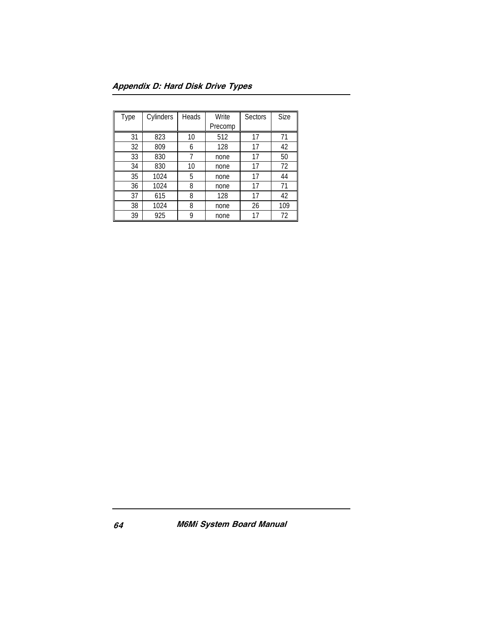| Type | Cylinders | Heads | Write   | Sectors | Size |
|------|-----------|-------|---------|---------|------|
|      |           |       | Precomp |         |      |
| 31   | 823       | 10    | 512     | 17      | 71   |
| 32   | 809       | 6     | 128     | 17      | 42   |
| 33   | 830       | 7     | none    | 17      | 50   |
| 34   | 830       | 10    | none    | 17      | 72   |
| 35   | 1024      | 5     | none    | 17      | 44   |
| 36   | 1024      | 8     | none    | 17      | 71   |
| 37   | 615       | 8     | 128     | 17      | 42   |
| 38   | 1024      | 8     | none    | 26      | 109  |
| 39   | 925       | 9     | none    | 17      | 72   |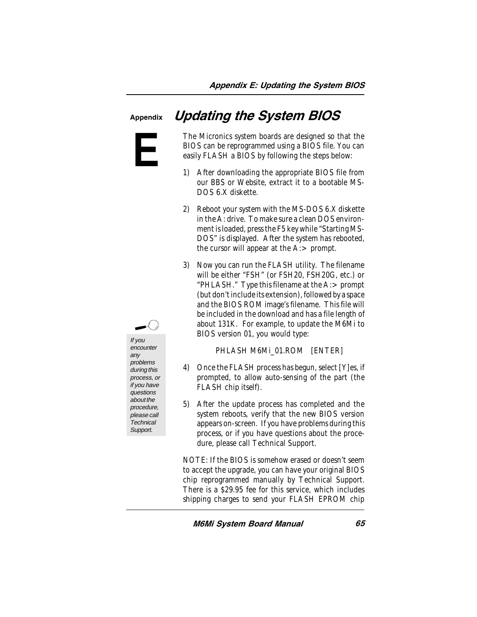### Updating the System BIOS

**E**

Appendix



If you encounter any problems during this process, or if you have questions about the procedure, please call **Technical** Support.

The Micronics system boards are designed so that the BIOS can be reprogrammed using a BIOS file. You can easily FLASH a BIOS by following the steps below:

- 1) After downloading the appropriate BIOS file from our BBS or Website, extract it to a bootable MS-DOS 6.X diskette.
- 2) Reboot your system with the MS-DOS 6.X diskette in the A: drive. To make sure a clean DOS environment is loaded, press the F5 key while "Starting MS-DOS" is displayed. After the system has rebooted, the cursor will appear at the  $A$ :  $>$  prompt.
- 3) Now you can run the FLASH utility. The filename will be either "FSH" (or FSH20, FSH20G, etc.) or "PHLASH." Type this filename at the A:> prompt (but don't include its extension), followed by a space and the BIOS ROM image's filename. This file will be included in the download and has a file length of about 131K. For example, to update the M6Mi to BIOS version 01, you would type:

PHLASH M6Mi\_01.ROM [ENTER]

- 4) Once the FLASH process has begun, select [Y]es, if prompted, to allow auto-sensing of the part (the FLASH chip itself).
- 5) After the update process has completed and the system reboots, verify that the new BIOS version appears on-screen. If you have problems during this process, or if you have questions about the procedure, please call Technical Support.

NOTE: If the BIOS is somehow erased or doesn't seem to accept the upgrade, you can have your original BIOS chip reprogrammed manually by Technical Support. There is a \$29.95 fee for this service, which includes shipping charges to send your FLASH EPROM chip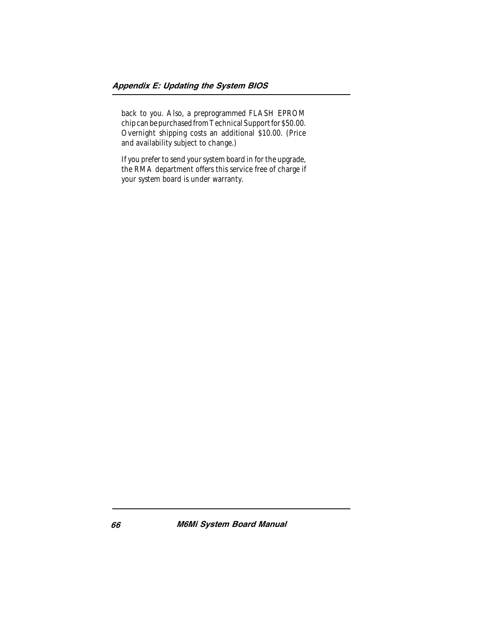back to you. Also, a preprogrammed FLASH EPROM chip can be purchased from Technical Support for \$50.00. Overnight shipping costs an additional \$10.00. (Price and availability subject to change.)

If you prefer to send your system board in for the upgrade, the RMA department offers this service free of charge if your system board is under warranty.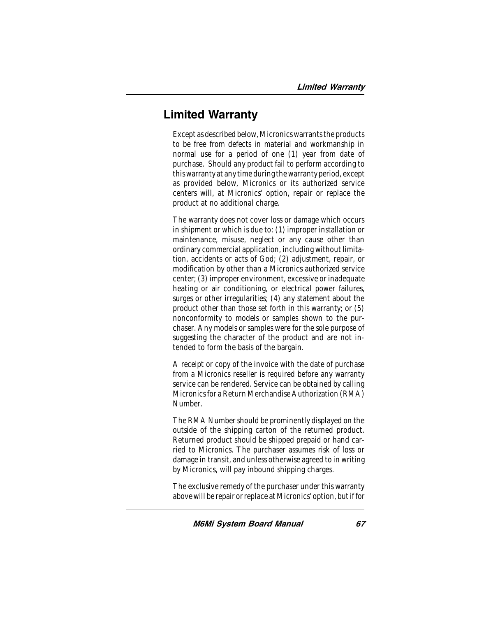### Limited Warranty

Except as described below, Micronics warrants the products to be free from defects in material and workmanship in normal use for a period of one (1) year from date of purchase. Should any product fail to perform according to this warranty at any time during the warranty period, except as provided below, Micronics or its authorized service centers will, at Micronics' option, repair or replace the product at no additional charge.

The warranty does not cover loss or damage which occurs in shipment or which is due to: (1) improper installation or maintenance, misuse, neglect or any cause other than ordinary commercial application, including without limitation, accidents or acts of God; (2) adjustment, repair, or modification by other than a Micronics authorized service center; (3) improper environment, excessive or inadequate heating or air conditioning, or electrical power failures, surges or other irregularities; (4) any statement about the product other than those set forth in this warranty; or (5) nonconformity to models or samples shown to the purchaser. Any models or samples were for the sole purpose of suggesting the character of the product and are not intended to form the basis of the bargain.

A receipt or copy of the invoice with the date of purchase from a Micronics reseller is required before any warranty service can be rendered. Service can be obtained by calling Micronics for a Return Merchandise Authorization (RMA) Number.

The RMA Number should be prominently displayed on the outside of the shipping carton of the returned product. Returned product should be shipped prepaid or hand carried to Micronics. The purchaser assumes risk of loss or damage in transit, and unless otherwise agreed to in writing by Micronics, will pay inbound shipping charges.

The exclusive remedy of the purchaser under this warranty above will be repair or replace at Micronics' option, but if for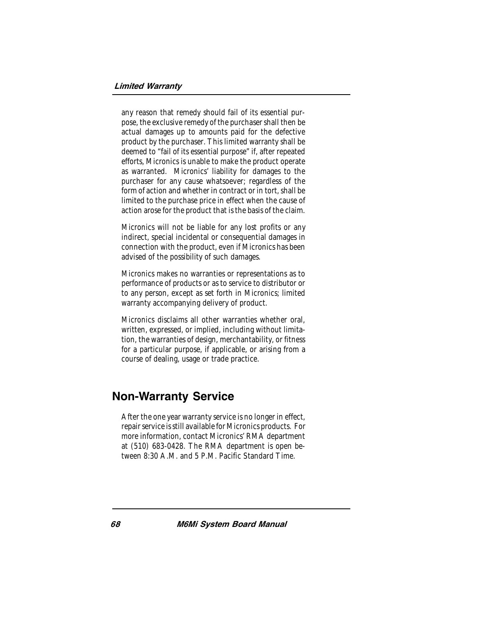any reason that remedy should fail of its essential purpose, the exclusive remedy of the purchaser shall then be actual damages up to amounts paid for the defective product by the purchaser. This limited warranty shall be deemed to "fail of its essential purpose" if, after repeated efforts, Micronics is unable to make the product operate as warranted. Micronics' liability for damages to the purchaser for any cause whatsoever; regardless of the form of action and whether in contract or in tort, shall be limited to the purchase price in effect when the cause of action arose for the product that is the basis of the claim.

Micronics will not be liable for any lost profits or any indirect, special incidental or consequential damages in connection with the product, even if Micronics has been advised of the possibility of such damages.

Micronics makes no warranties or representations as to performance of products or as to service to distributor or to any person, except as set forth in Micronics; limited warranty accompanying delivery of product.

Micronics disclaims all other warranties whether oral, written, expressed, or implied, including without limitation, the warranties of design, merchantability, or fitness for a particular purpose, if applicable, or arising from a course of dealing, usage or trade practice.

### Non-Warranty Service

After the one year warranty service is no longer in effect, repair service is still available for Micronics products. For more information, contact Micronics' RMA department at (510) 683-0428. The RMA department is open between 8:30 A.M. and 5 P.M. Pacific Standard Time.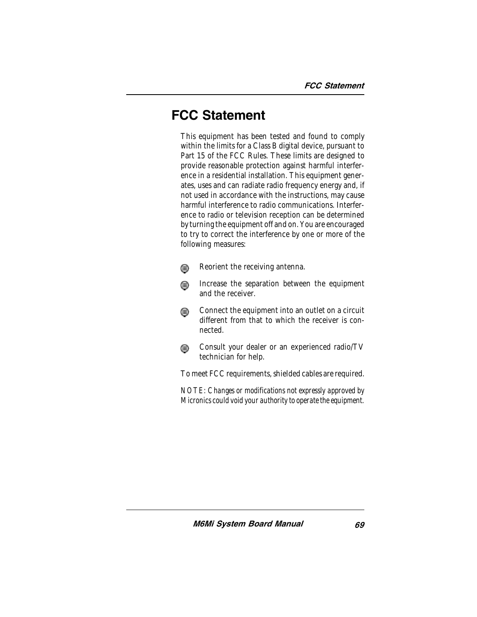### FCC Statement

This equipment has been tested and found to comply within the limits for a Class B digital device, pursuant to Part 15 of the FCC Rules. These limits are designed to provide reasonable protection against harmful interference in a residential installation. This equipment generates, uses and can radiate radio frequency energy and, if not used in accordance with the instructions, may cause harmful interference to radio communications. Interference to radio or television reception can be determined by turning the equipment off and on. You are encouraged to try to correct the interference by one or more of the following measures:

- Reorient the receiving antenna. ⋒
- Increase the separation between the equipment ⊕ and the receiver.
- Connect the equipment into an outlet on a circuit ⊕ different from that to which the receiver is connected.
- Consult your dealer or an experienced radio/TV ⋒ technician for help.

To meet FCC requirements, shielded cables are required.

*NOTE: Changes or modifications not expressly approved by Micronics could void your authority to operate the equipment.*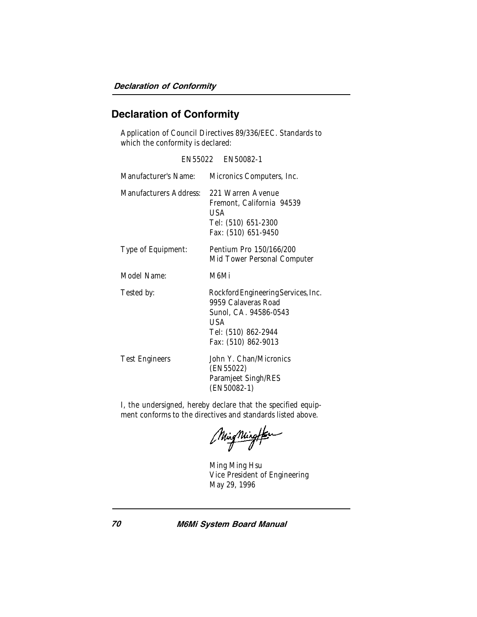### Declaration of Conformity

Application of Council Directives 89/336/EEC. Standards to which the conformity is declared:

|                        | EN55022 EN50082-1                                                                                                                        |
|------------------------|------------------------------------------------------------------------------------------------------------------------------------------|
| Manufacturer's Name:   | Micronics Computers, Inc.                                                                                                                |
| Manufacturers Address: | 221 Warren Avenue<br>Fremont, California 94539<br>USA<br>Tel: (510) 651-2300<br>Fax: (510) 651-9450                                      |
| Type of Equipment:     | Pentium Pro 150/166/200<br>Mid Tower Personal Computer                                                                                   |
| Model Name:            | M6Mi                                                                                                                                     |
| Tested by:             | Rockford Engineering Services, Inc.<br>9959 Calaveras Road<br>Sunol, CA. 94586-0543<br>USA<br>Tel: (510) 862-2944<br>Fax: (510) 862-9013 |
| <b>Test Engineers</b>  | John Y. Chan/Micronics<br>(EN55022)<br>Paramjeet Singh/RES<br>(EN50082-1)                                                                |

I, the undersigned, hereby declare that the specified equipment conforms to the directives and standards listed above.

MingMington

Ming Ming Hsu Vice President of Engineering May 29, 1996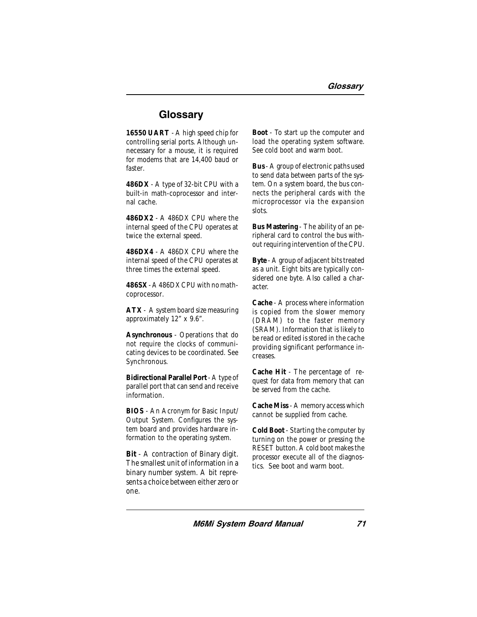### **Glossary**

**16550 UART** - A high speed chip for controlling serial ports. Although unnecessary for a mouse, it is required for modems that are 14,400 baud or faster.

**486DX** - A type of 32-bit CPU with a built-in math-coprocessor and internal cache.

**486DX2** - A 486DX CPU where the internal speed of the CPU operates at twice the external speed.

**486DX4** - A 486DX CPU where the internal speed of the CPU operates at three times the external speed.

**486SX** - A 486DX CPU with no mathcoprocessor.

**ATX** - A system board size measuring approximately 12" x 9.6".

**Asynchronous** - Operations that do not require the clocks of communicating devices to be coordinated. See Synchronous.

**Bidirectional Parallel Port** - A type of parallel port that can send and receive information.

**BIOS** - An Acronym for Basic Input/ Output System. Configures the system board and provides hardware information to the operating system.

**Bit** - A contraction of Binary digit. The smallest unit of information in a binary number system. A bit represents a choice between either zero or one.

**Boot** - To start up the computer and load the operating system software. See cold boot and warm boot.

**Bus** - A group of electronic paths used to send data between parts of the system. On a system board, the bus connects the peripheral cards with the microprocessor via the expansion slots.

**Bus Mastering** - The ability of an peripheral card to control the bus without requiring intervention of the CPU.

**Byte** - A group of adjacent bits treated as a unit. Eight bits are typically considered one byte. Also called a character.

**Cache** - A process where information is copied from the slower memory (DRAM) to the faster memory (SRAM). Information that is likely to be read or edited is stored in the cache providing significant performance increases.

**Cache Hit** - The percentage of request for data from memory that can be served from the cache.

**Cache Miss** - A memory access which cannot be supplied from cache.

**Cold Boot** - Starting the computer by turning on the power or pressing the RESET button. A cold boot makes the processor execute all of the diagnostics. See boot and warm boot.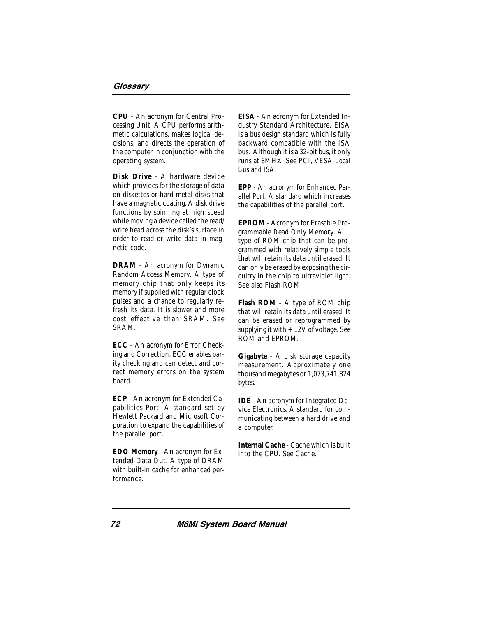**CPU** - An acronym for Central Processing Unit. A CPU performs arithmetic calculations, makes logical decisions, and directs the operation of the computer in conjunction with the operating system.

**Disk Drive** - A hardware device which provides for the storage of data on diskettes or hard metal disks that have a magnetic coating. A disk drive functions by spinning at high speed while moving a device called the read/ write head across the disk's surface in order to read or write data in magnetic code.

**DRAM** - An acronym for Dynamic Random Access Memory. A type of memory chip that only keeps its memory if supplied with regular clock pulses and a chance to regularly refresh its data. It is slower and more cost effective than SRAM. See SRAM.

**ECC** - An acronym for Error Checking and Correction. ECC enables parity checking and can detect and correct memory errors on the system board.

**ECP** - An acronym for Extended Capabilities Port. A standard set by Hewlett Packard and Microsoft Corporation to expand the capabilities of the parallel port.

**EDO Memory** - An acronym for Extended Data Out. A type of DRAM with built-in cache for enhanced performance.

**EISA** - An acronym for Extended Industry Standard Architecture. EISA is a bus design standard which is fully backward compatible with the ISA bus. Although it is a 32-bit bus, it only runs at 8MHz. See *PCI, VESA Local Bus and ISA.*

**EPP** - An acronym for Enhanced Parallel Port. A standard which increases the capabilities of the parallel port.

**EPROM** - Acronym for Erasable Programmable Read Only Memory. A type of ROM chip that can be programmed with relatively simple tools that will retain its data until erased. It can only be erased by exposing the circuitry in the chip to ultraviolet light. See also Flash ROM.

**Flash ROM** - A type of ROM chip that will retain its data until erased. It can be erased or reprogrammed by supplying it with  $+12V$  of voltage. See ROM and EPROM.

**Gigabyte** - A disk storage capacity measurement. Approximately one thousand megabytes or 1,073,741,824 bytes.

**IDE** - An acronym for Integrated Device Electronics. A standard for communicating between a hard drive and a computer.

**Internal Cache** - Cache which is built into the CPU. See Cache.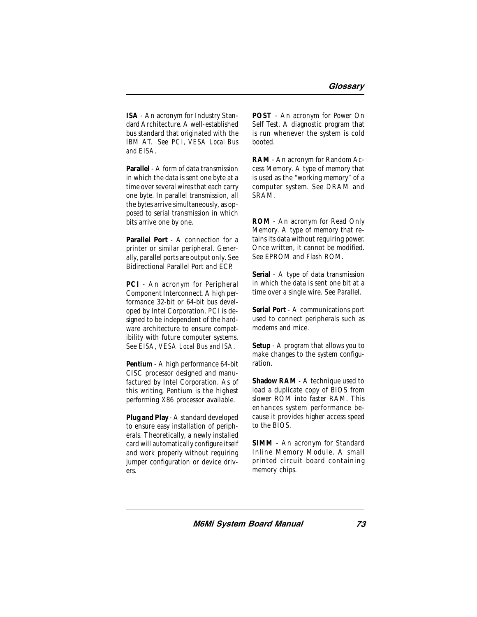**ISA** - An acronym for Industry Standard Architecture. A well-established bus standard that originated with the IBM AT. See *PCI, VESA Local Bus and EISA.*

**Parallel** - A form of data transmission in which the data is sent one byte at a time over several wires that each carry one byte. In parallel transmission, all the bytes arrive simultaneously, as opposed to serial transmission in which bits arrive one by one.

**Parallel Port** - A connection for a printer or similar peripheral. Generally, parallel ports are output only. See Bidirectional Parallel Port and ECP.

**PCI** - An acronym for Peripheral Component Interconnect. A high performance 32-bit or 64-bit bus developed by Intel Corporation. PCI is designed to be independent of the hardware architecture to ensure compatibility with future computer systems. See *EISA, VESA Local Bus and ISA.*

**Pentium** - A high performance 64-bit CISC processor designed and manufactured by Intel Corporation. As of this writing, Pentium is the highest performing X86 processor available.

**Plug and Play** - A standard developed to ensure easy installation of peripherals. Theoretically, a newly installed card will automatically configure itself and work properly without requiring jumper configuration or device drivers.

**POST** - An acronym for Power On Self Test. A diagnostic program that is run whenever the system is cold booted.

**RAM** - An acronym for Random Access Memory. A type of memory that is used as the "working memory" of a computer system. See DRAM and SRAM.

**ROM** - An acronym for Read Only Memory. A type of memory that retains its data without requiring power. Once written, it cannot be modified. See EPROM and Flash ROM.

**Serial** - A type of data transmission in which the data is sent one bit at a time over a single wire. See Parallel.

**Serial Port** - A communications port used to connect peripherals such as modems and mice.

**Setup** - A program that allows you to make changes to the system configuration.

**Shadow RAM** - A technique used to load a duplicate copy of BIOS from slower ROM into faster RAM. This enhances system performance because it provides higher access speed to the BIOS.

**SIMM** - An acronym for Standard Inline Memory Module. A small printed circuit board containing memory chips.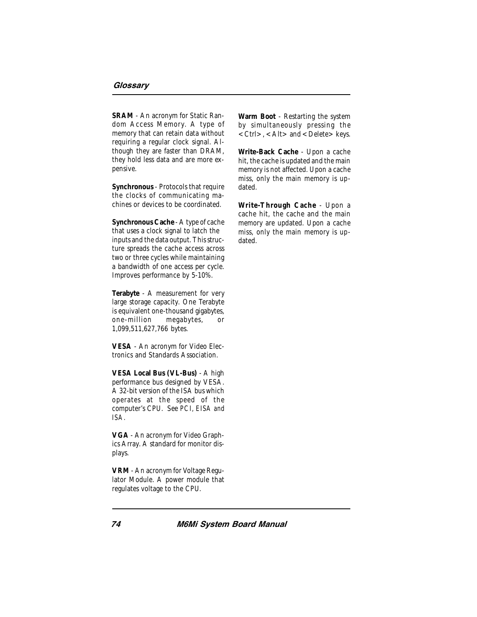**SRAM** - An acronym for Static Random Access Memory. A type of memory that can retain data without requiring a regular clock signal. Although they are faster than DRAM, they hold less data and are more expensive.

**Synchronous** - Protocols that require the clocks of communicating machines or devices to be coordinated.

**Synchronous Cache** - A type of cache that uses a clock signal to latch the inputs and the data output. This structure spreads the cache access across two or three cycles while maintaining a bandwidth of one access per cycle. Improves performance by 5-10%.

**Terabyte** - A measurement for very large storage capacity. One Terabyte is equivalent one-thousand gigabytes, one-million megabytes, or 1,099,511,627,766 bytes.

**VESA** - An acronym for Video Electronics and Standards Association.

**VESA Local Bus (VL-Bus)** - A high performance bus designed by VESA. A 32-bit version of the ISA bus which operates at the speed of the computer's CPU. See *PCI, EISA and ISA.*

**VGA** - An acronym for Video Graphics Array. A standard for monitor displays.

**VRM** - An acronym for Voltage Regulator Module. A power module that regulates voltage to the CPU.

**Warm Boot** - Restarting the system by simultaneously pressing the  $\langle$  Ctrl $>$ ,  $\langle$  Alt $>$  and  $\langle$  Delete $>$  keys.

**Write-Back Cache** - Upon a cache hit, the cache is updated and the main memory is not affected. Upon a cache miss, only the main memory is updated.

**Write-Through Cache** - Upon a cache hit, the cache and the main memory are updated. Upon a cache miss, only the main memory is updated.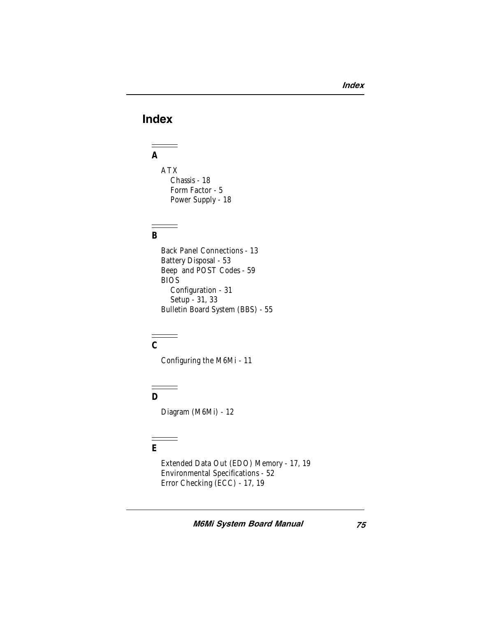## Index

## **A**

ATX Chassis - 18 Form Factor - 5 Power Supply - 18

#### **B**

Back Panel Connections - 13 Battery Disposal - 53 Beep and POST Codes - 59 BIOS Configuration - 31 Setup - 31, 33 Bulletin Board System (BBS) - 55

# **C**

Configuring the M6Mi - 11

#### **D**

Diagram (M6Mi) - 12

## **E**

Extended Data Out (EDO) Memory - 17, 19 Environmental Specifications - 52 Error Checking (ECC) - 17, 19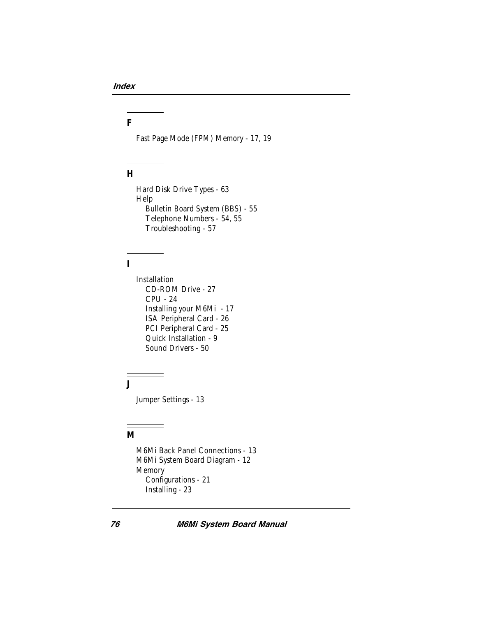#### **F**

Fast Page Mode (FPM) Memory - 17, 19

#### **H**

Hard Disk Drive Types - 63 Help Bulletin Board System (BBS) - 55 Telephone Numbers - 54, 55 Troubleshooting - 57

#### **I**

Installation CD-ROM Drive - 27 CPU - 24 Installing your M6Mi - 17 ISA Peripheral Card - 26 PCI Peripheral Card - 25 Quick Installation - 9 Sound Drivers - 50

**J**

Jumper Settings - 13

 $\sim$ 

#### **M**

M6Mi Back Panel Connections - 13 M6Mi System Board Diagram - 12 Memory Configurations - 21 Installing - 23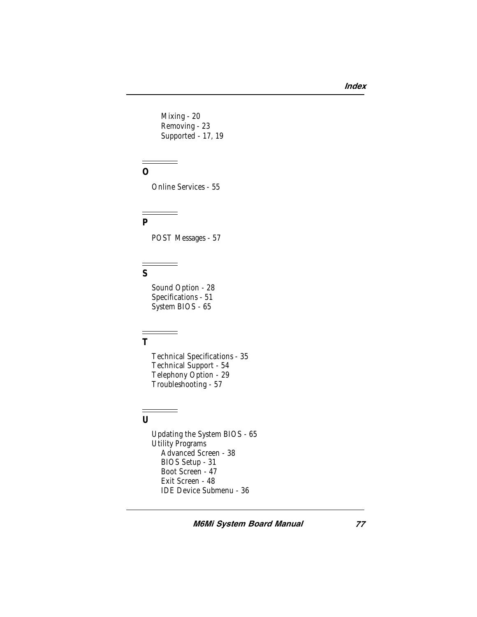Mixing - 20 Removing - 23 Supported - 17, 19

#### **O**

Online Services - 55

#### **P**

POST Messages - 57

#### **S**

Sound Option - 28 Specifications - 51 System BIOS - 65

-

#### **T**

Technical Specifications - 35 Technical Support - 54 Telephony Option - 29 Troubleshooting - 57

#### **U**

Updating the System BIOS - 65 Utility Programs Advanced Screen - 38 BIOS Setup - 31 Boot Screen - 47 Exit Screen - 48 IDE Device Submenu - 36